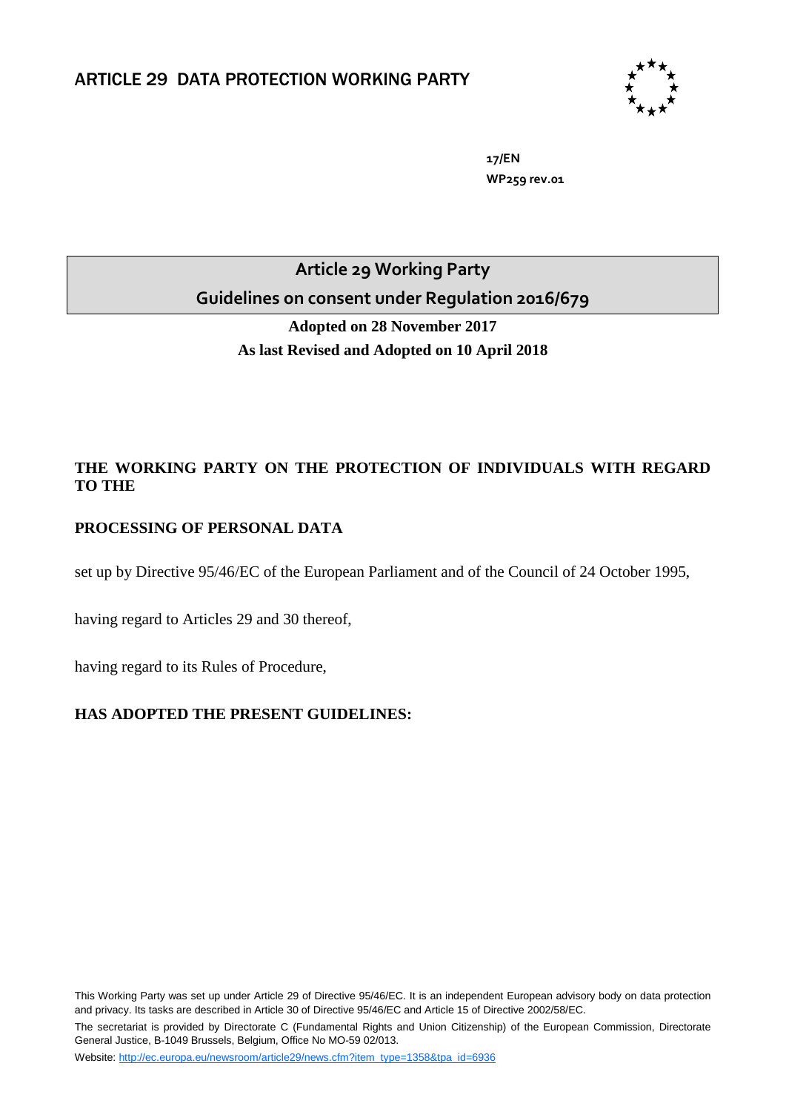

**17/EN WP259 rev.01**

**Article 29 Working Party Guidelines on consent under Regulation 2016/679**

> **Adopted on 28 November 2017 As last Revised and Adopted on 10 April 2018**

# **THE WORKING PARTY ON THE PROTECTION OF INDIVIDUALS WITH REGARD TO THE**

# **PROCESSING OF PERSONAL DATA**

set up by Directive 95/46/EC of the European Parliament and of the Council of 24 October 1995,

having regard to Articles 29 and 30 thereof,

having regard to its Rules of Procedure,

# **HAS ADOPTED THE PRESENT GUIDELINES:**

This Working Party was set up under Article 29 of Directive 95/46/EC. It is an independent European advisory body on data protection and privacy. Its tasks are described in Article 30 of Directive 95/46/EC and Article 15 of Directive 2002/58/EC. The secretariat is provided by Directorate C (Fundamental Rights and Union Citizenship) of the European Commission, Directorate General Justice, B-1049 Brussels, Belgium, Office No MO-59 02/013.

Website: [http://ec.europa.eu/newsroom/article29/news.cfm?item\\_type=1358&tpa\\_id=6936](http://ec.europa.eu/newsroom/article29/news.cfm?item_type=1358&tpa_id=6936)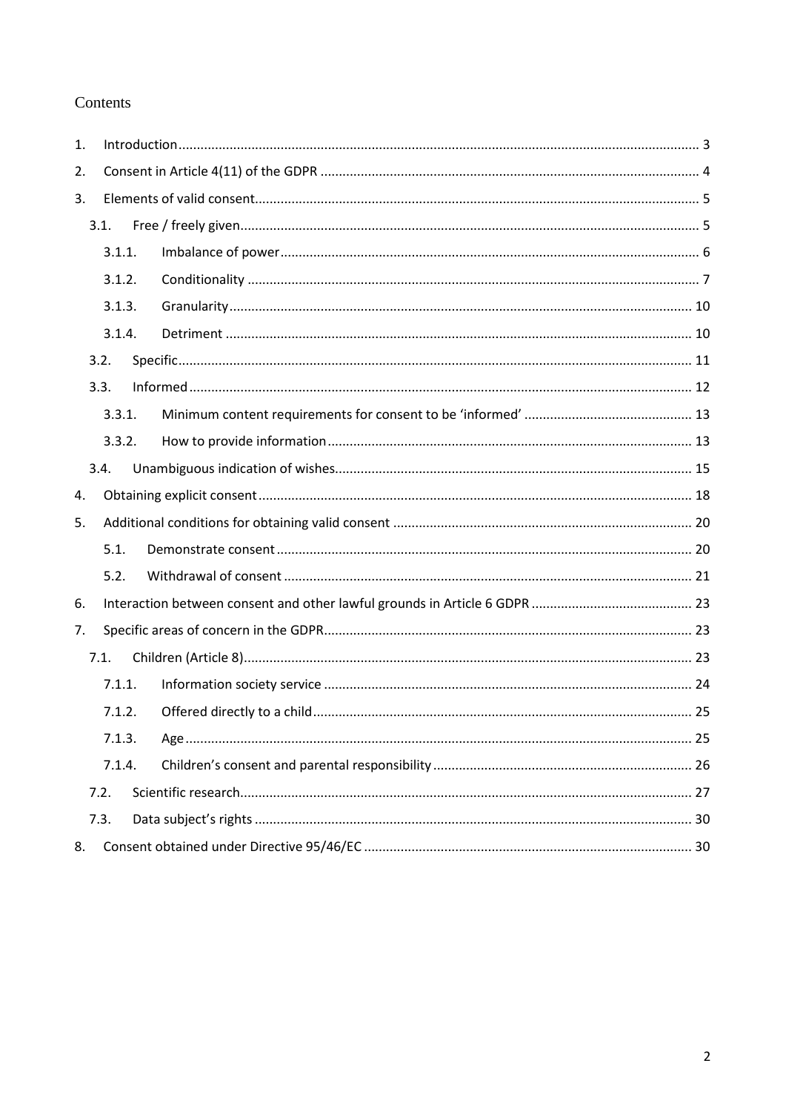# Contents

| 1.   |        |        |  |  |  |
|------|--------|--------|--|--|--|
| 2.   |        |        |  |  |  |
| 3.   |        |        |  |  |  |
|      |        | 3.1.   |  |  |  |
|      |        | 3.1.1. |  |  |  |
|      |        | 3.1.2. |  |  |  |
|      | 3.1.3. |        |  |  |  |
|      |        | 3.1.4. |  |  |  |
|      |        | 3.2.   |  |  |  |
|      |        | 3.3.   |  |  |  |
|      |        | 3.3.1. |  |  |  |
|      |        | 3.3.2. |  |  |  |
|      |        | 3.4.   |  |  |  |
| 4.   |        |        |  |  |  |
| 5.   |        |        |  |  |  |
|      |        | 5.1.   |  |  |  |
|      |        | 5.2.   |  |  |  |
| 6.   |        |        |  |  |  |
| 7.   |        |        |  |  |  |
| 7.1. |        |        |  |  |  |
|      |        | 7.1.1. |  |  |  |
|      | 7.1.2. |        |  |  |  |
|      |        | 7.1.3. |  |  |  |
|      |        | 7.1.4. |  |  |  |
|      |        | 7.2.   |  |  |  |
|      |        | 7.3.   |  |  |  |
| 8.   |        |        |  |  |  |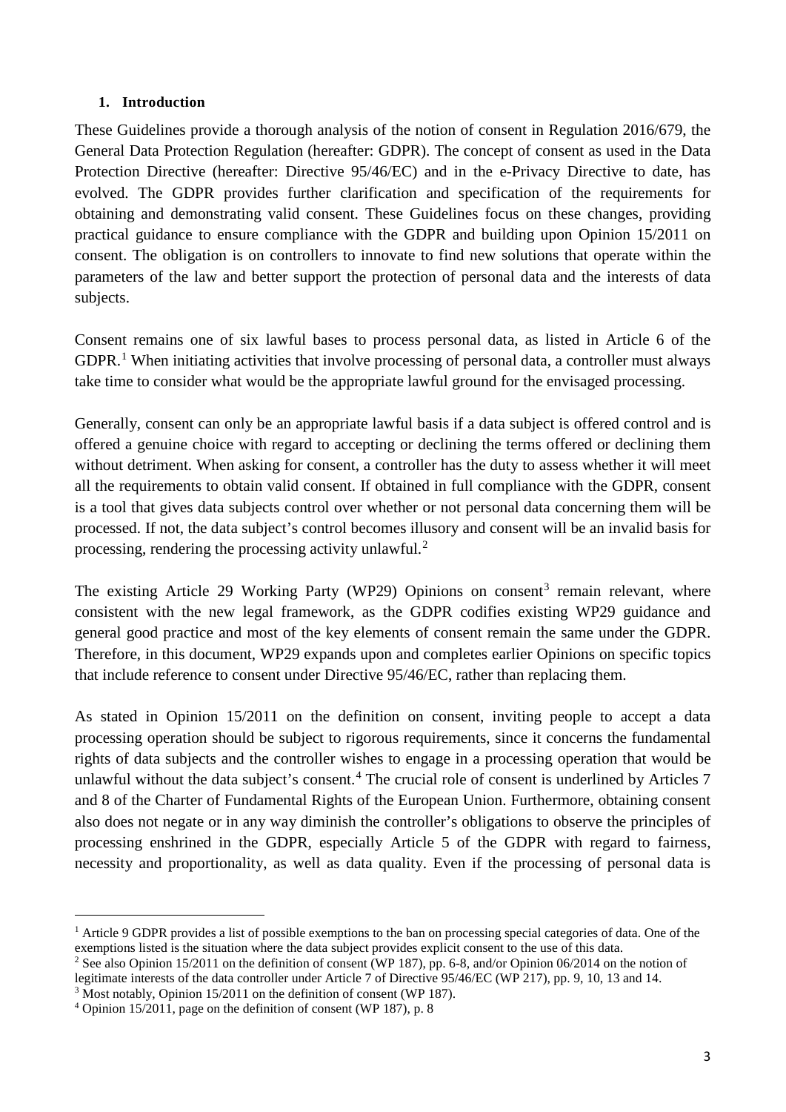## <span id="page-2-0"></span>**1. Introduction**

These Guidelines provide a thorough analysis of the notion of consent in Regulation 2016/679, the General Data Protection Regulation (hereafter: GDPR). The concept of consent as used in the Data Protection Directive (hereafter: Directive 95/46/EC) and in the e-Privacy Directive to date, has evolved. The GDPR provides further clarification and specification of the requirements for obtaining and demonstrating valid consent. These Guidelines focus on these changes, providing practical guidance to ensure compliance with the GDPR and building upon Opinion 15/2011 on consent. The obligation is on controllers to innovate to find new solutions that operate within the parameters of the law and better support the protection of personal data and the interests of data subjects.

Consent remains one of six lawful bases to process personal data, as listed in Article 6 of the GDPR.<sup>[1](#page-2-1)</sup> When initiating activities that involve processing of personal data, a controller must always take time to consider what would be the appropriate lawful ground for the envisaged processing.

Generally, consent can only be an appropriate lawful basis if a data subject is offered control and is offered a genuine choice with regard to accepting or declining the terms offered or declining them without detriment. When asking for consent, a controller has the duty to assess whether it will meet all the requirements to obtain valid consent. If obtained in full compliance with the GDPR, consent is a tool that gives data subjects control over whether or not personal data concerning them will be processed. If not, the data subject's control becomes illusory and consent will be an invalid basis for processing, rendering the processing activity unlawful.<sup>[2](#page-2-2)</sup>

The existing Article 29 Working Party (WP29) Opinions on consent<sup>[3](#page-2-3)</sup> remain relevant, where consistent with the new legal framework, as the GDPR codifies existing WP29 guidance and general good practice and most of the key elements of consent remain the same under the GDPR. Therefore, in this document, WP29 expands upon and completes earlier Opinions on specific topics that include reference to consent under Directive 95/46/EC, rather than replacing them.

As stated in Opinion 15/2011 on the definition on consent, inviting people to accept a data processing operation should be subject to rigorous requirements, since it concerns the fundamental rights of data subjects and the controller wishes to engage in a processing operation that would be unlawful without the data subject's consent.<sup>[4](#page-2-4)</sup> The crucial role of consent is underlined by Articles 7 and 8 of the Charter of Fundamental Rights of the European Union. Furthermore, obtaining consent also does not negate or in any way diminish the controller's obligations to observe the principles of processing enshrined in the GDPR, especially Article 5 of the GDPR with regard to fairness, necessity and proportionality, as well as data quality. Even if the processing of personal data is

<span id="page-2-1"></span><sup>&</sup>lt;sup>1</sup> Article 9 GDPR provides a list of possible exemptions to the ban on processing special categories of data. One of the exemptions listed is the situation where the data subject provides explicit consent to the use of this data.

<span id="page-2-2"></span><sup>&</sup>lt;sup>2</sup> See also Opinion 15/2011 on the definition of consent (WP 187), pp. 6-8, and/or Opinion 06/2014 on the notion of legitimate interests of the data controller under Article 7 of Directive 95/46/EC (WP 217), pp. 9, 10, 13 and 14.

<span id="page-2-3"></span> $3$  Most notably, Opinion 15/2011 on the definition of consent (WP 187).

<span id="page-2-4"></span> $4$  Opinion 15/2011, page on the definition of consent (WP 187), p. 8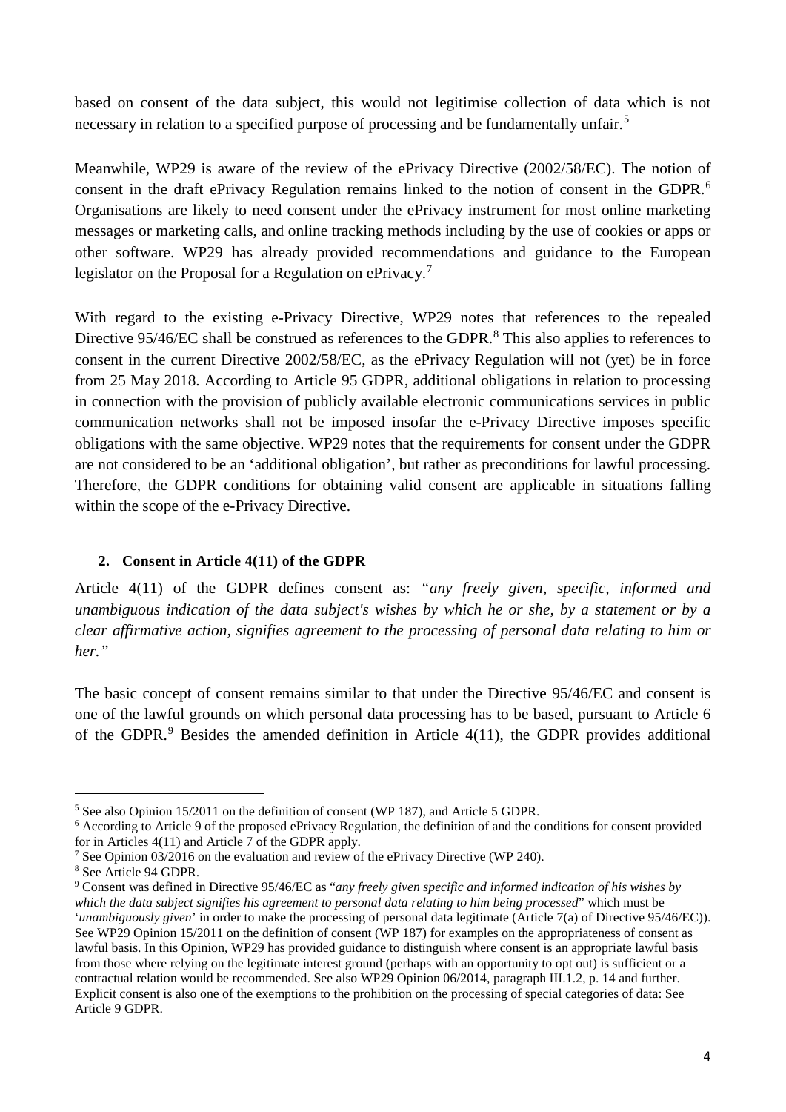based on consent of the data subject, this would not legitimise collection of data which is not necessary in relation to a specified purpose of processing and be fundamentally unfair.<sup>[5](#page-3-1)</sup>

Meanwhile, WP29 is aware of the review of the ePrivacy Directive (2002/58/EC). The notion of consent in the draft ePrivacy Regulation remains linked to the notion of consent in the GDPR.[6](#page-3-2) Organisations are likely to need consent under the ePrivacy instrument for most online marketing messages or marketing calls, and online tracking methods including by the use of cookies or apps or other software. WP29 has already provided recommendations and guidance to the European legislator on the Proposal for a Regulation on ePrivacy.<sup>[7](#page-3-3)</sup>

With regard to the existing e-Privacy Directive, WP29 notes that references to the repealed Directive 95/46/EC shall be construed as references to the GDPR.<sup>[8](#page-3-4)</sup> This also applies to references to consent in the current Directive 2002/58/EC, as the ePrivacy Regulation will not (yet) be in force from 25 May 2018. According to Article 95 GDPR, additional obligations in relation to processing in connection with the provision of publicly available electronic communications services in public communication networks shall not be imposed insofar the e-Privacy Directive imposes specific obligations with the same objective. WP29 notes that the requirements for consent under the GDPR are not considered to be an 'additional obligation', but rather as preconditions for lawful processing. Therefore, the GDPR conditions for obtaining valid consent are applicable in situations falling within the scope of the e-Privacy Directive.

## <span id="page-3-0"></span>**2. Consent in Article 4(11) of the GDPR**

Article 4(11) of the GDPR defines consent as: *"any freely given, specific, informed and unambiguous indication of the data subject's wishes by which he or she, by a statement or by a clear affirmative action, signifies agreement to the processing of personal data relating to him or her."*

The basic concept of consent remains similar to that under the Directive 95/46/EC and consent is one of the lawful grounds on which personal data processing has to be based, pursuant to Article 6 of the GDPR. $9$  Besides the amended definition in Article 4(11), the GDPR provides additional

<span id="page-3-1"></span> <sup>5</sup> See also Opinion 15/2011 on the definition of consent (WP 187), and Article 5 GDPR.

<span id="page-3-2"></span><sup>&</sup>lt;sup>6</sup> According to Article 9 of the proposed ePrivacy Regulation, the definition of and the conditions for consent provided for in Articles 4(11) and Article 7 of the GDPR apply.

<span id="page-3-3"></span><sup>7</sup> See Opinion 03/2016 on the evaluation and review of the ePrivacy Directive (WP 240).

<span id="page-3-4"></span><sup>8</sup> See Article 94 GDPR.

<span id="page-3-5"></span><sup>9</sup> Consent was defined in Directive 95/46/EC as "*any freely given specific and informed indication of his wishes by which the data subject signifies his agreement to personal data relating to him being processed*" which must be '*unambiguously given*' in order to make the processing of personal data legitimate (Article 7(a) of Directive 95/46/EC)). See WP29 Opinion 15/2011 on the definition of consent (WP 187) for examples on the appropriateness of consent as lawful basis. In this Opinion, WP29 has provided guidance to distinguish where consent is an appropriate lawful basis from those where relying on the legitimate interest ground (perhaps with an opportunity to opt out) is sufficient or a contractual relation would be recommended. See also WP29 Opinion 06/2014, paragraph III.1.2, p. 14 and further. Explicit consent is also one of the exemptions to the prohibition on the processing of special categories of data: See Article 9 GDPR.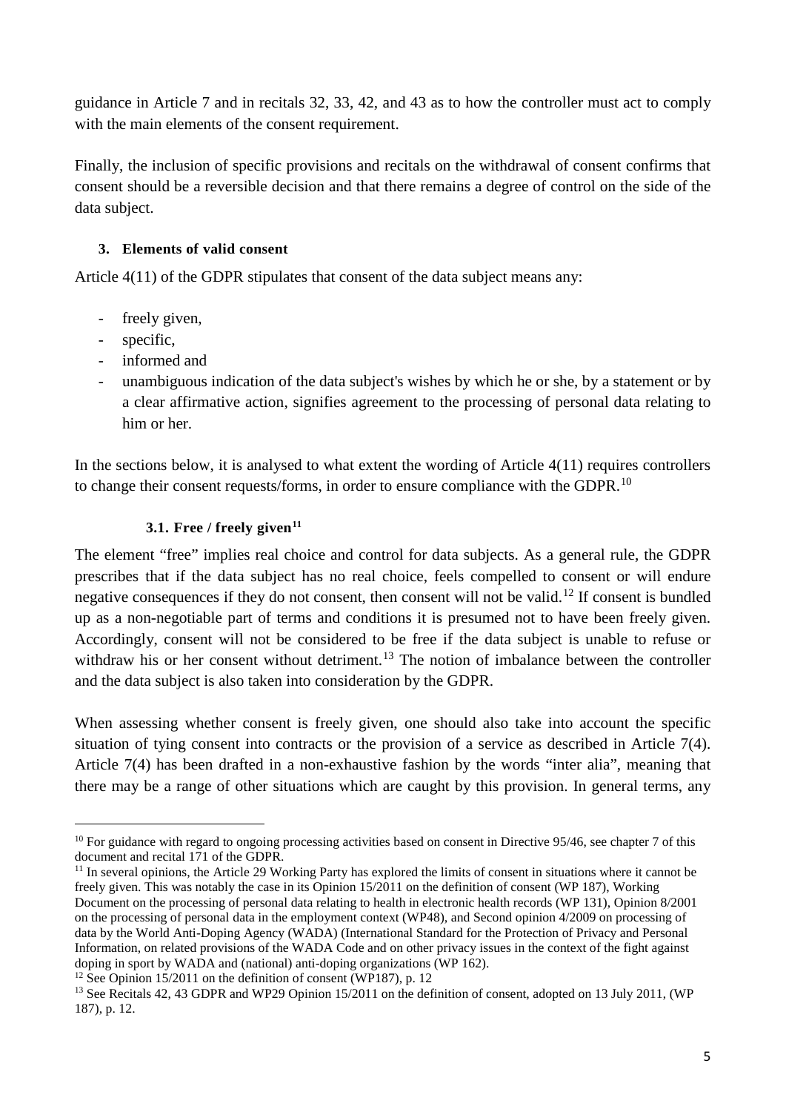guidance in Article 7 and in recitals 32, 33, 42, and 43 as to how the controller must act to comply with the main elements of the consent requirement.

Finally, the inclusion of specific provisions and recitals on the withdrawal of consent confirms that consent should be a reversible decision and that there remains a degree of control on the side of the data subject.

# <span id="page-4-0"></span>**3. Elements of valid consent**

Article 4(11) of the GDPR stipulates that consent of the data subject means any:

- freely given,
- specific,
- informed and
- unambiguous indication of the data subject's wishes by which he or she, by a statement or by a clear affirmative action, signifies agreement to the processing of personal data relating to him or her.

In the sections below, it is analysed to what extent the wording of Article 4(11) requires controllers to change their consent requests/forms, in order to ensure compliance with the GDPR.<sup>[10](#page-4-2)</sup>

# <span id="page-4-1"></span>**3.1. Free / freely given[11](#page-4-3)**

The element "free" implies real choice and control for data subjects. As a general rule, the GDPR prescribes that if the data subject has no real choice, feels compelled to consent or will endure negative consequences if they do not consent, then consent will not be valid.<sup>[12](#page-4-4)</sup> If consent is bundled up as a non-negotiable part of terms and conditions it is presumed not to have been freely given. Accordingly, consent will not be considered to be free if the data subject is unable to refuse or withdraw his or her consent without detriment.<sup>[13](#page-4-5)</sup> The notion of imbalance between the controller and the data subject is also taken into consideration by the GDPR.

When assessing whether consent is freely given, one should also take into account the specific situation of tying consent into contracts or the provision of a service as described in Article 7(4). Article 7(4) has been drafted in a non-exhaustive fashion by the words "inter alia", meaning that there may be a range of other situations which are caught by this provision. In general terms, any

<span id="page-4-2"></span> $10$  For guidance with regard to ongoing processing activities based on consent in Directive 95/46, see chapter 7 of this document and recital 171 of the GDPR.

<span id="page-4-3"></span><sup>&</sup>lt;sup>11</sup> In several opinions, the Article 29 Working Party has explored the limits of consent in situations where it cannot be freely given. This was notably the case in its Opinion 15/2011 on the definition of consent (WP 187), Working Document on the processing of personal data relating to health in electronic health records (WP 131), Opinion 8/2001 on the processing of personal data in the employment context (WP48), and Second opinion 4/2009 on processing of data by the World Anti-Doping Agency (WADA) (International Standard for the Protection of Privacy and Personal Information, on related provisions of the WADA Code and on other privacy issues in the context of the fight against doping in sport by WADA and (national) anti-doping organizations (WP 162).

<span id="page-4-4"></span><sup>&</sup>lt;sup>12</sup> See Opinion 15/2011 on the definition of consent (WP187), p. 12

<span id="page-4-5"></span><sup>&</sup>lt;sup>13</sup> See Recitals 42, 43 GDPR and WP29 Opinion 15/2011 on the definition of consent, adopted on 13 July 2011, (WP) 187), p. 12.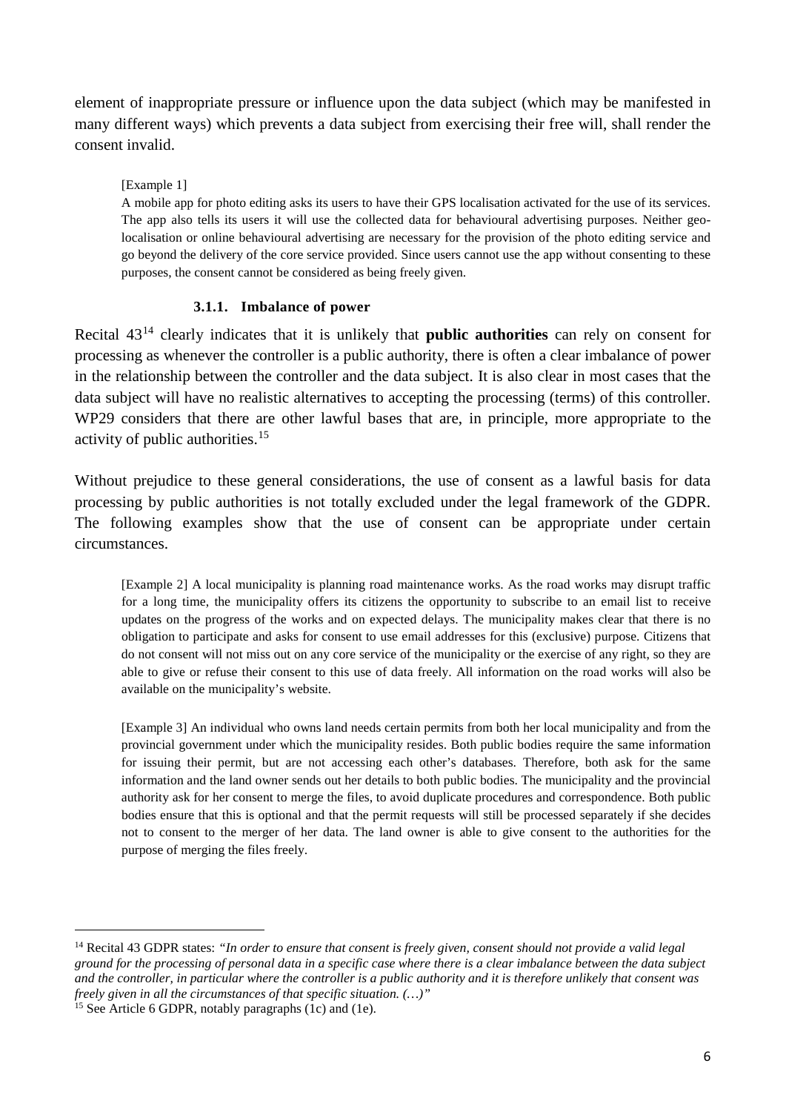element of inappropriate pressure or influence upon the data subject (which may be manifested in many different ways) which prevents a data subject from exercising their free will, shall render the consent invalid.

### [Example 1]

A mobile app for photo editing asks its users to have their GPS localisation activated for the use of its services. The app also tells its users it will use the collected data for behavioural advertising purposes. Neither geolocalisation or online behavioural advertising are necessary for the provision of the photo editing service and go beyond the delivery of the core service provided. Since users cannot use the app without consenting to these purposes, the consent cannot be considered as being freely given.

### **3.1.1. Imbalance of power**

<span id="page-5-0"></span>Recital 43[14](#page-5-1) clearly indicates that it is unlikely that **public authorities** can rely on consent for processing as whenever the controller is a public authority, there is often a clear imbalance of power in the relationship between the controller and the data subject. It is also clear in most cases that the data subject will have no realistic alternatives to accepting the processing (terms) of this controller. WP29 considers that there are other lawful bases that are, in principle, more appropriate to the activity of public authorities. [15](#page-5-2)

Without prejudice to these general considerations, the use of consent as a lawful basis for data processing by public authorities is not totally excluded under the legal framework of the GDPR. The following examples show that the use of consent can be appropriate under certain circumstances.

[Example 2] A local municipality is planning road maintenance works. As the road works may disrupt traffic for a long time, the municipality offers its citizens the opportunity to subscribe to an email list to receive updates on the progress of the works and on expected delays. The municipality makes clear that there is no obligation to participate and asks for consent to use email addresses for this (exclusive) purpose. Citizens that do not consent will not miss out on any core service of the municipality or the exercise of any right, so they are able to give or refuse their consent to this use of data freely. All information on the road works will also be available on the municipality's website.

[Example 3] An individual who owns land needs certain permits from both her local municipality and from the provincial government under which the municipality resides. Both public bodies require the same information for issuing their permit, but are not accessing each other's databases. Therefore, both ask for the same information and the land owner sends out her details to both public bodies. The municipality and the provincial authority ask for her consent to merge the files, to avoid duplicate procedures and correspondence. Both public bodies ensure that this is optional and that the permit requests will still be processed separately if she decides not to consent to the merger of her data. The land owner is able to give consent to the authorities for the purpose of merging the files freely.

<span id="page-5-1"></span> <sup>14</sup> Recital 43 GDPR states: *"In order to ensure that consent is freely given, consent should not provide a valid legal ground for the processing of personal data in a specific case where there is a clear imbalance between the data subject and the controller, in particular where the controller is a public authority and it is therefore unlikely that consent was freely given in all the circumstances of that specific situation. (…)"*

<span id="page-5-2"></span><sup>&</sup>lt;sup>15</sup> See Article 6 GDPR, notably paragraphs  $(1c)$  and  $(1e)$ .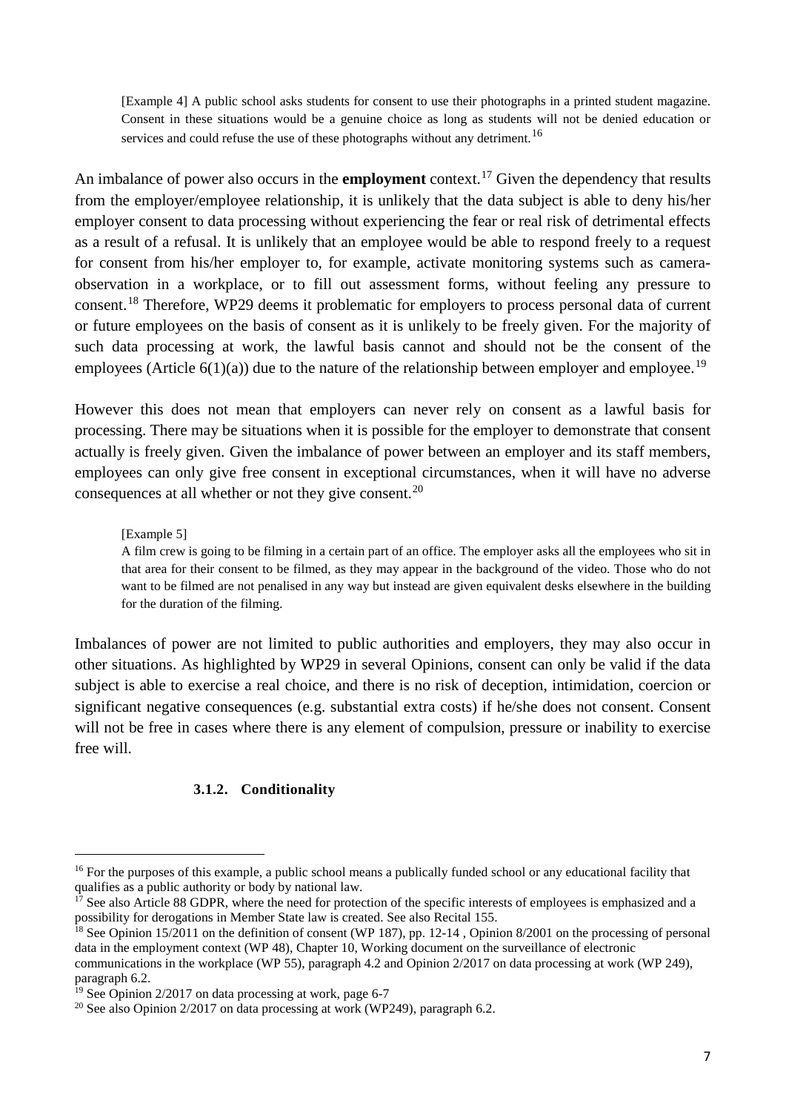[Example 4] A public school asks students for consent to use their photographs in a printed student magazine. Consent in these situations would be a genuine choice as long as students will not be denied education or services and could refuse the use of these photographs without any detriment.<sup>[16](#page-6-1)</sup>

An imbalance of power also occurs in the **employment** context. [17](#page-6-2) Given the dependency that results from the employer/employee relationship, it is unlikely that the data subject is able to deny his/her employer consent to data processing without experiencing the fear or real risk of detrimental effects as a result of a refusal. It is unlikely that an employee would be able to respond freely to a request for consent from his/her employer to, for example, activate monitoring systems such as cameraobservation in a workplace, or to fill out assessment forms, without feeling any pressure to consent.<sup>[18](#page-6-3)</sup> Therefore, WP29 deems it problematic for employers to process personal data of current or future employees on the basis of consent as it is unlikely to be freely given. For the majority of such data processing at work, the lawful basis cannot and should not be the consent of the employees (Article  $6(1)(a)$ ) due to the nature of the relationship between employer and employee.<sup>[19](#page-6-4)</sup>

However this does not mean that employers can never rely on consent as a lawful basis for processing. There may be situations when it is possible for the employer to demonstrate that consent actually is freely given. Given the imbalance of power between an employer and its staff members, employees can only give free consent in exceptional circumstances, when it will have no adverse consequences at all whether or not they give consent.<sup>[20](#page-6-5)</sup>

### [Example 5]

A film crew is going to be filming in a certain part of an office. The employer asks all the employees who sit in that area for their consent to be filmed, as they may appear in the background of the video. Those who do not want to be filmed are not penalised in any way but instead are given equivalent desks elsewhere in the building for the duration of the filming.

Imbalances of power are not limited to public authorities and employers, they may also occur in other situations. As highlighted by WP29 in several Opinions, consent can only be valid if the data subject is able to exercise a real choice, and there is no risk of deception, intimidation, coercion or significant negative consequences (e.g. substantial extra costs) if he/she does not consent. Consent will not be free in cases where there is any element of compulsion, pressure or inability to exercise free will.

### **3.1.2. Conditionality**

<span id="page-6-1"></span><span id="page-6-0"></span><sup>&</sup>lt;sup>16</sup> For the purposes of this example, a public school means a publically funded school or any educational facility that qualifies as a public authority or body by national law.

<span id="page-6-2"></span> $17$  See also Article 88 GDPR, where the need for protection of the specific interests of employees is emphasized and a possibility for derogations in Member State law is created. See also Recital 155.

<span id="page-6-3"></span><sup>&</sup>lt;sup>18</sup> See Opinion 15/2011 on the definition of consent (WP 187), pp. 12-14, Opinion 8/2001 on the processing of personal data in the employment context (WP 48), Chapter 10, Working document on the surveillance of electronic communications in the workplace (WP 55), paragraph 4.2 and Opinion 2/2017 on data processing at work (WP 249), paragraph 6.2.

<span id="page-6-4"></span> $19$  See Opinion 2/2017 on data processing at work, page 6-7

<span id="page-6-5"></span><sup>&</sup>lt;sup>20</sup> See also Opinion  $2/2017$  on data processing at work (WP249), paragraph 6.2.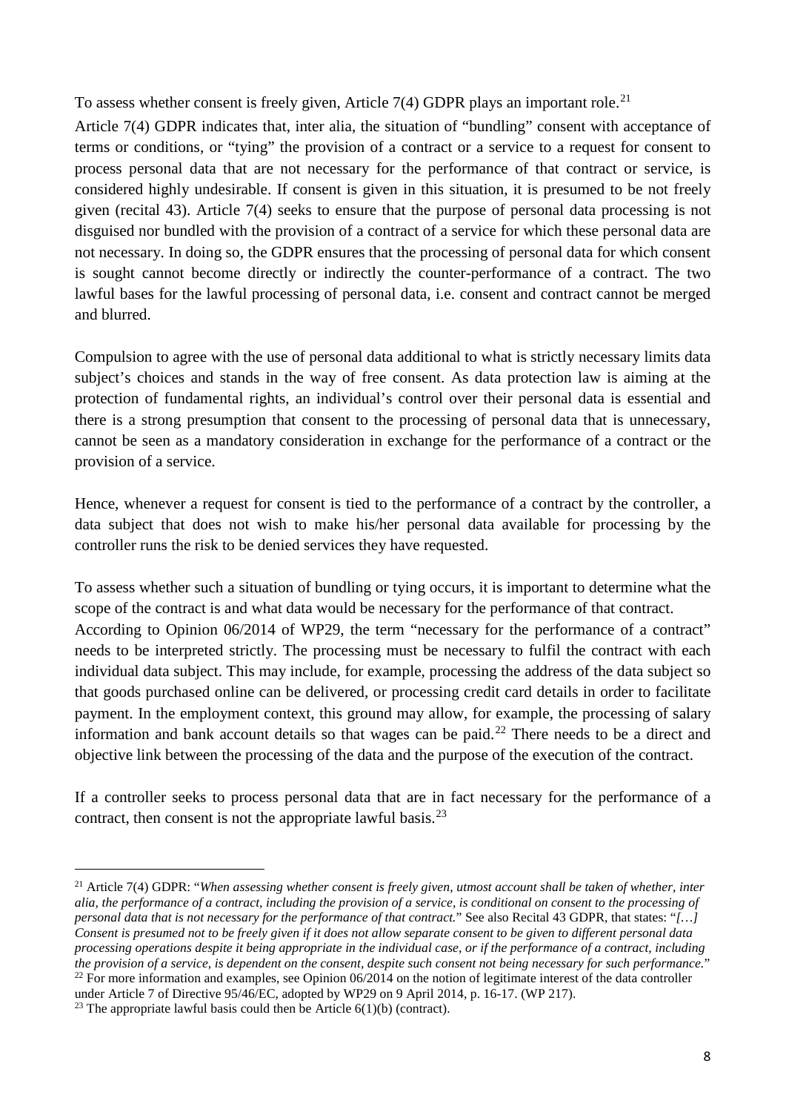To assess whether consent is freely given, Article  $7(4)$  GDPR plays an important role.<sup>[21](#page-7-0)</sup>

Article 7(4) GDPR indicates that, inter alia, the situation of "bundling" consent with acceptance of terms or conditions, or "tying" the provision of a contract or a service to a request for consent to process personal data that are not necessary for the performance of that contract or service, is considered highly undesirable. If consent is given in this situation, it is presumed to be not freely given (recital 43). Article 7(4) seeks to ensure that the purpose of personal data processing is not disguised nor bundled with the provision of a contract of a service for which these personal data are not necessary. In doing so, the GDPR ensures that the processing of personal data for which consent is sought cannot become directly or indirectly the counter-performance of a contract. The two lawful bases for the lawful processing of personal data, i.e. consent and contract cannot be merged and blurred.

Compulsion to agree with the use of personal data additional to what is strictly necessary limits data subject's choices and stands in the way of free consent. As data protection law is aiming at the protection of fundamental rights, an individual's control over their personal data is essential and there is a strong presumption that consent to the processing of personal data that is unnecessary, cannot be seen as a mandatory consideration in exchange for the performance of a contract or the provision of a service.

Hence, whenever a request for consent is tied to the performance of a contract by the controller, a data subject that does not wish to make his/her personal data available for processing by the controller runs the risk to be denied services they have requested.

To assess whether such a situation of bundling or tying occurs, it is important to determine what the scope of the contract is and what data would be necessary for the performance of that contract. According to Opinion 06/2014 of WP29, the term "necessary for the performance of a contract" needs to be interpreted strictly. The processing must be necessary to fulfil the contract with each individual data subject. This may include, for example, processing the address of the data subject so that goods purchased online can be delivered, or processing credit card details in order to facilitate payment. In the employment context, this ground may allow, for example, the processing of salary information and bank account details so that wages can be paid.<sup>[22](#page-7-1)</sup> There needs to be a direct and objective link between the processing of the data and the purpose of the execution of the contract.

If a controller seeks to process personal data that are in fact necessary for the performance of a contract, then consent is not the appropriate lawful basis.<sup>[23](#page-7-2)</sup>

<span id="page-7-0"></span> <sup>21</sup> Article 7(4) GDPR: "*When assessing whether consent is freely given, utmost account shall be taken of whether, inter alia, the performance of a contract, including the provision of a service, is conditional on consent to the processing of personal data that is not necessary for the performance of that contract.*" See also Recital 43 GDPR, that states: "*[…] Consent is presumed not to be freely given if it does not allow separate consent to be given to different personal data processing operations despite it being appropriate in the individual case, or if the performance of a contract, including the provision of a service, is dependent on the consent, despite such consent not being necessary for such performance.*" <sup>22</sup> For more information and examples, see Opinion  $06/2014$  on the notion of legitimate interest of the data controller under Article 7 of Directive 95/46/EC, adopted by WP29 on 9 April 2014, p. 16-17. (WP 217).

<span id="page-7-2"></span><span id="page-7-1"></span><sup>&</sup>lt;sup>23</sup> The appropriate lawful basis could then be Article  $6(1)(b)$  (contract).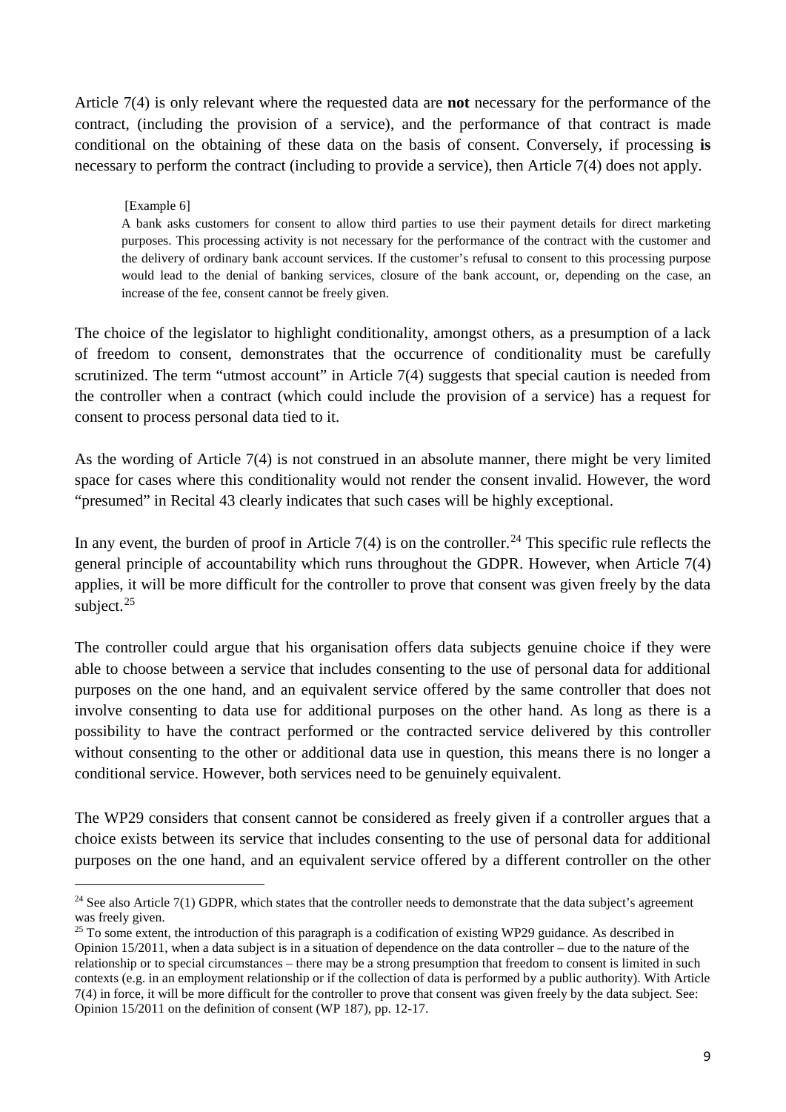Article 7(4) is only relevant where the requested data are **not** necessary for the performance of the contract, (including the provision of a service), and the performance of that contract is made conditional on the obtaining of these data on the basis of consent. Conversely, if processing **is**  necessary to perform the contract (including to provide a service), then Article 7(4) does not apply.

## [Example 6]

A bank asks customers for consent to allow third parties to use their payment details for direct marketing purposes. This processing activity is not necessary for the performance of the contract with the customer and the delivery of ordinary bank account services. If the customer's refusal to consent to this processing purpose would lead to the denial of banking services, closure of the bank account, or, depending on the case, an increase of the fee, consent cannot be freely given.

The choice of the legislator to highlight conditionality, amongst others, as a presumption of a lack of freedom to consent, demonstrates that the occurrence of conditionality must be carefully scrutinized. The term "utmost account" in Article 7(4) suggests that special caution is needed from the controller when a contract (which could include the provision of a service) has a request for consent to process personal data tied to it.

As the wording of Article 7(4) is not construed in an absolute manner, there might be very limited space for cases where this conditionality would not render the consent invalid. However, the word "presumed" in Recital 43 clearly indicates that such cases will be highly exceptional.

In any event, the burden of proof in Article 7(4) is on the controller.<sup>[24](#page-8-0)</sup> This specific rule reflects the general principle of accountability which runs throughout the GDPR. However, when Article 7(4) applies, it will be more difficult for the controller to prove that consent was given freely by the data subject. $25$ 

The controller could argue that his organisation offers data subjects genuine choice if they were able to choose between a service that includes consenting to the use of personal data for additional purposes on the one hand, and an equivalent service offered by the same controller that does not involve consenting to data use for additional purposes on the other hand. As long as there is a possibility to have the contract performed or the contracted service delivered by this controller without consenting to the other or additional data use in question, this means there is no longer a conditional service. However, both services need to be genuinely equivalent.

The WP29 considers that consent cannot be considered as freely given if a controller argues that a choice exists between its service that includes consenting to the use of personal data for additional purposes on the one hand, and an equivalent service offered by a different controller on the other

<span id="page-8-0"></span> $24$  See also Article 7(1) GDPR, which states that the controller needs to demonstrate that the data subject's agreement was freely given.

<span id="page-8-1"></span> $25$  To some extent, the introduction of this paragraph is a codification of existing WP29 guidance. As described in Opinion 15/2011, when a data subject is in a situation of dependence on the data controller – due to the nature of the relationship or to special circumstances – there may be a strong presumption that freedom to consent is limited in such contexts (e.g. in an employment relationship or if the collection of data is performed by a public authority). With Article 7(4) in force, it will be more difficult for the controller to prove that consent was given freely by the data subject. See: Opinion 15/2011 on the definition of consent (WP 187), pp. 12-17.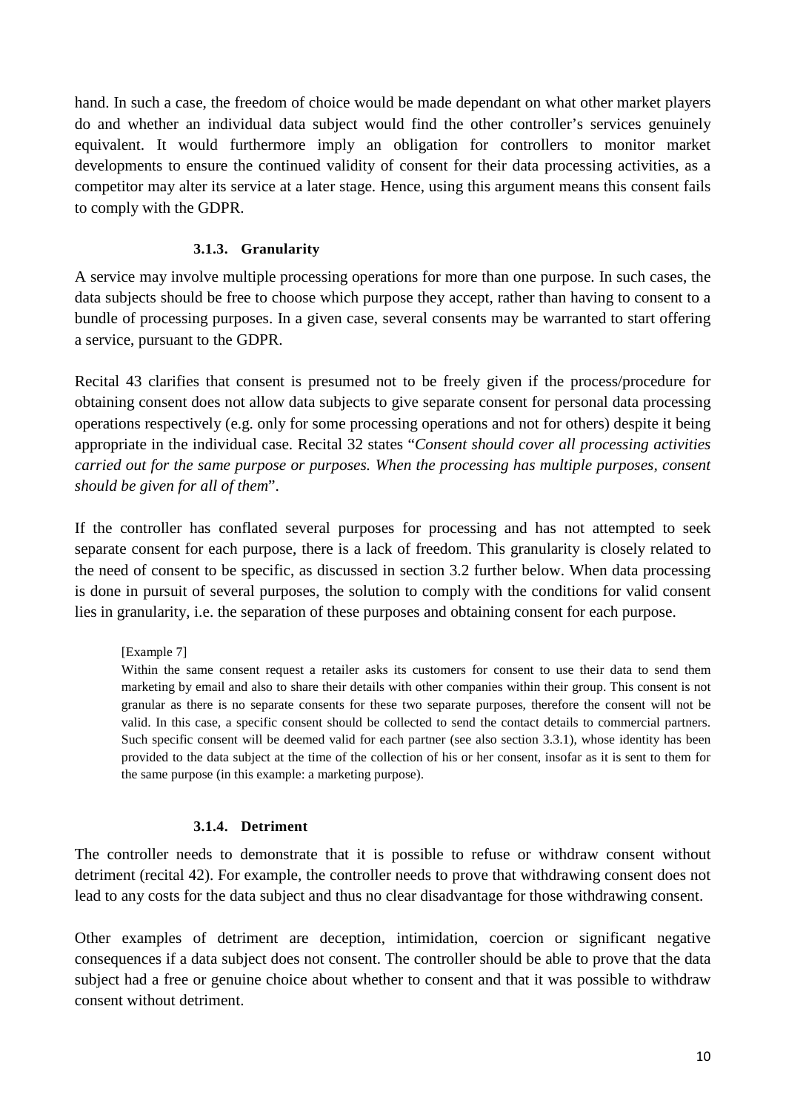hand. In such a case, the freedom of choice would be made dependant on what other market players do and whether an individual data subject would find the other controller's services genuinely equivalent. It would furthermore imply an obligation for controllers to monitor market developments to ensure the continued validity of consent for their data processing activities, as a competitor may alter its service at a later stage. Hence, using this argument means this consent fails to comply with the GDPR.

## **3.1.3. Granularity**

<span id="page-9-0"></span>A service may involve multiple processing operations for more than one purpose. In such cases, the data subjects should be free to choose which purpose they accept, rather than having to consent to a bundle of processing purposes. In a given case, several consents may be warranted to start offering a service, pursuant to the GDPR.

Recital 43 clarifies that consent is presumed not to be freely given if the process/procedure for obtaining consent does not allow data subjects to give separate consent for personal data processing operations respectively (e.g. only for some processing operations and not for others) despite it being appropriate in the individual case. Recital 32 states "*Consent should cover all processing activities carried out for the same purpose or purposes. When the processing has multiple purposes, consent should be given for all of them*".

If the controller has conflated several purposes for processing and has not attempted to seek separate consent for each purpose, there is a lack of freedom. This granularity is closely related to the need of consent to be specific, as discussed in section 3.2 further below. When data processing is done in pursuit of several purposes, the solution to comply with the conditions for valid consent lies in granularity, i.e. the separation of these purposes and obtaining consent for each purpose.

### [Example 7]

Within the same consent request a retailer asks its customers for consent to use their data to send them marketing by email and also to share their details with other companies within their group. This consent is not granular as there is no separate consents for these two separate purposes, therefore the consent will not be valid. In this case, a specific consent should be collected to send the contact details to commercial partners. Such specific consent will be deemed valid for each partner (see also section 3.3.1), whose identity has been provided to the data subject at the time of the collection of his or her consent, insofar as it is sent to them for the same purpose (in this example: a marketing purpose).

### **3.1.4. Detriment**

<span id="page-9-1"></span>The controller needs to demonstrate that it is possible to refuse or withdraw consent without detriment (recital 42). For example, the controller needs to prove that withdrawing consent does not lead to any costs for the data subject and thus no clear disadvantage for those withdrawing consent.

Other examples of detriment are deception, intimidation, coercion or significant negative consequences if a data subject does not consent. The controller should be able to prove that the data subject had a free or genuine choice about whether to consent and that it was possible to withdraw consent without detriment.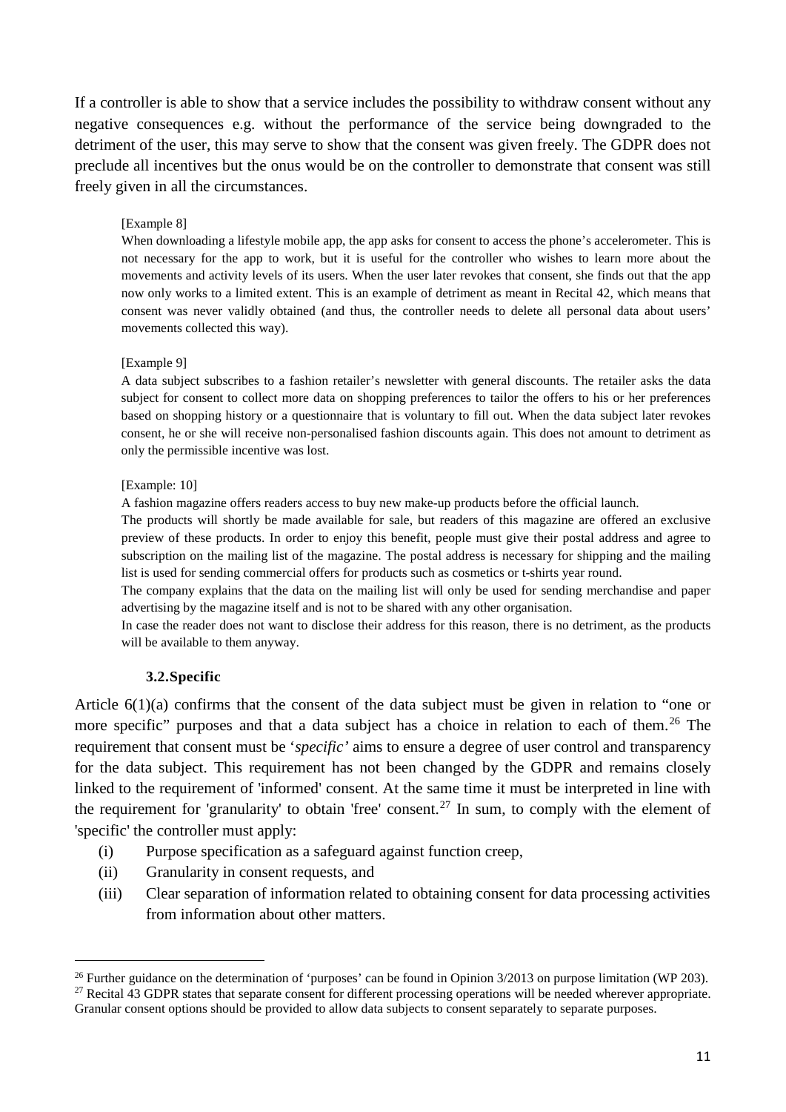If a controller is able to show that a service includes the possibility to withdraw consent without any negative consequences e.g. without the performance of the service being downgraded to the detriment of the user, this may serve to show that the consent was given freely. The GDPR does not preclude all incentives but the onus would be on the controller to demonstrate that consent was still freely given in all the circumstances.

### [Example 8]

When downloading a lifestyle mobile app, the app asks for consent to access the phone's accelerometer. This is not necessary for the app to work, but it is useful for the controller who wishes to learn more about the movements and activity levels of its users. When the user later revokes that consent, she finds out that the app now only works to a limited extent. This is an example of detriment as meant in Recital 42, which means that consent was never validly obtained (and thus, the controller needs to delete all personal data about users' movements collected this way).

### [Example 9]

A data subject subscribes to a fashion retailer's newsletter with general discounts. The retailer asks the data subject for consent to collect more data on shopping preferences to tailor the offers to his or her preferences based on shopping history or a questionnaire that is voluntary to fill out. When the data subject later revokes consent, he or she will receive non-personalised fashion discounts again. This does not amount to detriment as only the permissible incentive was lost.

### [Example: 10]

A fashion magazine offers readers access to buy new make-up products before the official launch.

The products will shortly be made available for sale, but readers of this magazine are offered an exclusive preview of these products. In order to enjoy this benefit, people must give their postal address and agree to subscription on the mailing list of the magazine. The postal address is necessary for shipping and the mailing list is used for sending commercial offers for products such as cosmetics or t-shirts year round.

The company explains that the data on the mailing list will only be used for sending merchandise and paper advertising by the magazine itself and is not to be shared with any other organisation.

In case the reader does not want to disclose their address for this reason, there is no detriment, as the products will be available to them anyway.

### **3.2.Specific**

<span id="page-10-0"></span>Article 6(1)(a) confirms that the consent of the data subject must be given in relation to "one or more specific" purposes and that a data subject has a choice in relation to each of them.<sup>[26](#page-10-1)</sup> The requirement that consent must be '*specific'* aims to ensure a degree of user control and transparency for the data subject. This requirement has not been changed by the GDPR and remains closely linked to the requirement of 'informed' consent. At the same time it must be interpreted in line with the requirement for 'granularity' to obtain 'free' consent.<sup>[27](#page-10-2)</sup> In sum, to comply with the element of 'specific' the controller must apply:

- (i) Purpose specification as a safeguard against function creep,
- (ii) Granularity in consent requests, and
- (iii) Clear separation of information related to obtaining consent for data processing activities from information about other matters.

<span id="page-10-1"></span><sup>&</sup>lt;sup>26</sup> Further guidance on the determination of 'purposes' can be found in Opinion  $3/2013$  on purpose limitation (WP 203).

<span id="page-10-2"></span> $27$  Recital 43 GDPR states that separate consent for different processing operations will be needed wherever appropriate. Granular consent options should be provided to allow data subjects to consent separately to separate purposes.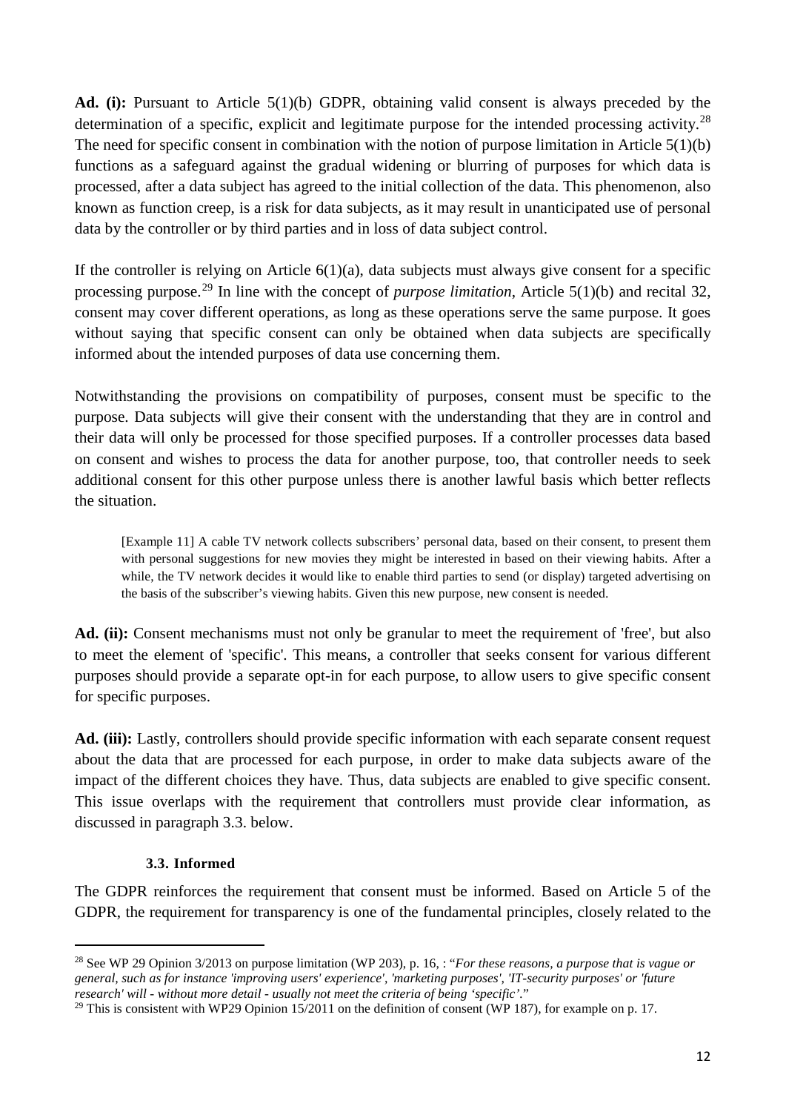**Ad. (i):** Pursuant to Article 5(1)(b) GDPR, obtaining valid consent is always preceded by the determination of a specific, explicit and legitimate purpose for the intended processing activity.<sup>[28](#page-11-1)</sup> The need for specific consent in combination with the notion of purpose limitation in Article 5(1)(b) functions as a safeguard against the gradual widening or blurring of purposes for which data is processed, after a data subject has agreed to the initial collection of the data. This phenomenon, also known as function creep, is a risk for data subjects, as it may result in unanticipated use of personal data by the controller or by third parties and in loss of data subject control.

If the controller is relying on Article  $6(1)(a)$ , data subjects must always give consent for a specific processing purpose. [29](#page-11-2) In line with the concept of *purpose limitation*, Article 5(1)(b) and recital 32, consent may cover different operations, as long as these operations serve the same purpose. It goes without saying that specific consent can only be obtained when data subjects are specifically informed about the intended purposes of data use concerning them.

Notwithstanding the provisions on compatibility of purposes, consent must be specific to the purpose. Data subjects will give their consent with the understanding that they are in control and their data will only be processed for those specified purposes. If a controller processes data based on consent and wishes to process the data for another purpose, too, that controller needs to seek additional consent for this other purpose unless there is another lawful basis which better reflects the situation.

[Example 11] A cable TV network collects subscribers' personal data, based on their consent, to present them with personal suggestions for new movies they might be interested in based on their viewing habits. After a while, the TV network decides it would like to enable third parties to send (or display) targeted advertising on the basis of the subscriber's viewing habits. Given this new purpose, new consent is needed.

Ad. (ii): Consent mechanisms must not only be granular to meet the requirement of 'free', but also to meet the element of 'specific'. This means, a controller that seeks consent for various different purposes should provide a separate opt-in for each purpose, to allow users to give specific consent for specific purposes.

**Ad. (iii):** Lastly, controllers should provide specific information with each separate consent request about the data that are processed for each purpose, in order to make data subjects aware of the impact of the different choices they have. Thus, data subjects are enabled to give specific consent. This issue overlaps with the requirement that controllers must provide clear information, as discussed in paragraph 3.3. below.

## <span id="page-11-0"></span>**3.3. Informed**

The GDPR reinforces the requirement that consent must be informed. Based on Article 5 of the GDPR, the requirement for transparency is one of the fundamental principles, closely related to the

<span id="page-11-1"></span> <sup>28</sup> See WP 29 Opinion 3/2013 on purpose limitation (WP 203), p. 16, : "*For these reasons, a purpose that is vague or general, such as for instance 'improving users' experience', 'marketing purposes', 'IT-security purposes' or 'future research' will - without more detail - usually not meet the criteria of being 'specific'.*"

<span id="page-11-2"></span><sup>&</sup>lt;sup>29</sup> This is consistent with WP29 Opinion 15/2011 on the definition of consent (WP 187), for example on p. 17.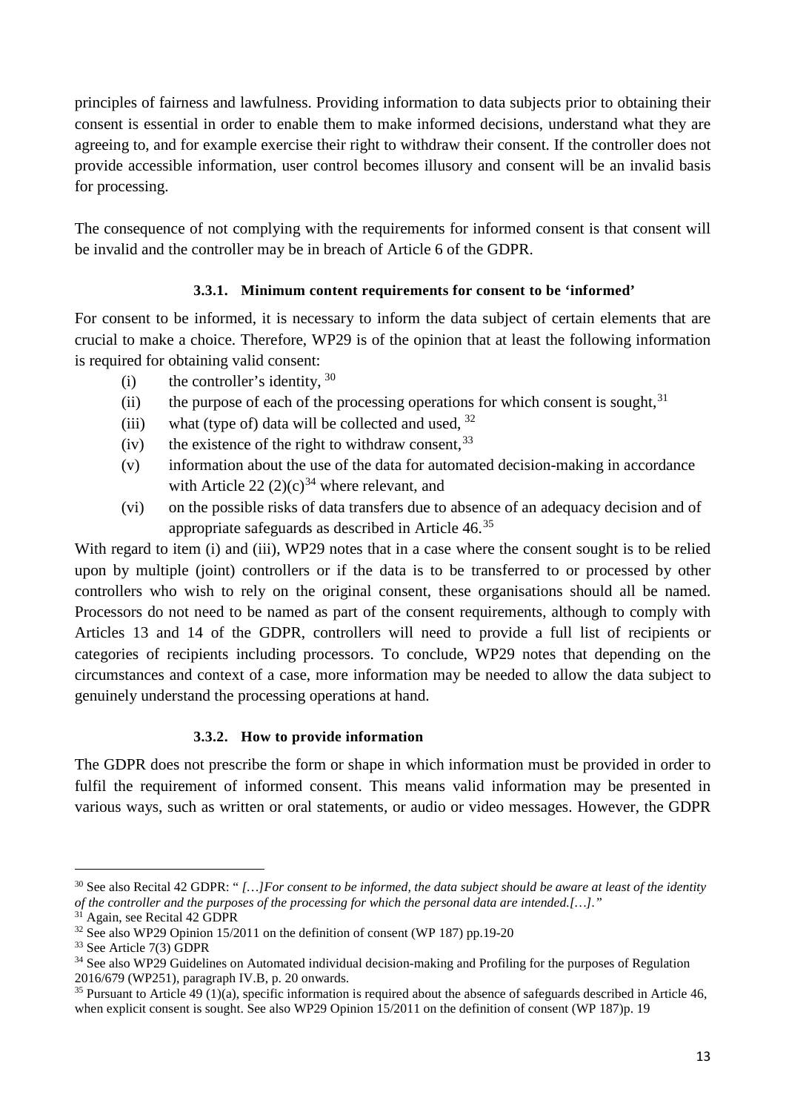principles of fairness and lawfulness. Providing information to data subjects prior to obtaining their consent is essential in order to enable them to make informed decisions, understand what they are agreeing to, and for example exercise their right to withdraw their consent. If the controller does not provide accessible information, user control becomes illusory and consent will be an invalid basis for processing.

The consequence of not complying with the requirements for informed consent is that consent will be invalid and the controller may be in breach of Article 6 of the GDPR.

# **3.3.1. Minimum content requirements for consent to be 'informed'**

<span id="page-12-0"></span>For consent to be informed, it is necessary to inform the data subject of certain elements that are crucial to make a choice. Therefore, WP29 is of the opinion that at least the following information is required for obtaining valid consent:

- (i) the controller's identity,  $30$
- $(i)$  the purpose of each of the processing operations for which consent is sought,  $31$
- (iii) what (type of) data will be collected and used,  $32$
- (iv) the existence of the right to withdraw consent,  $33$
- (v) information about the use of the data for automated decision-making in accordance with Article 22  $(2)(c)^{34}$  $(2)(c)^{34}$  $(2)(c)^{34}$  where relevant, and
- (vi) on the possible risks of data transfers due to absence of an adequacy decision and of appropriate safeguards as described in Article 46.[35](#page-12-7)

With regard to item (i) and (iii), WP29 notes that in a case where the consent sought is to be relied upon by multiple (joint) controllers or if the data is to be transferred to or processed by other controllers who wish to rely on the original consent, these organisations should all be named. Processors do not need to be named as part of the consent requirements, although to comply with Articles 13 and 14 of the GDPR, controllers will need to provide a full list of recipients or categories of recipients including processors. To conclude, WP29 notes that depending on the circumstances and context of a case, more information may be needed to allow the data subject to genuinely understand the processing operations at hand.

# **3.3.2. How to provide information**

<span id="page-12-1"></span>The GDPR does not prescribe the form or shape in which information must be provided in order to fulfil the requirement of informed consent. This means valid information may be presented in various ways, such as written or oral statements, or audio or video messages. However, the GDPR

<span id="page-12-2"></span> <sup>30</sup> See also Recital 42 GDPR: " *[…]For consent to be informed, the data subject should be aware at least of the identity of the controller and the purposes of the processing for which the personal data are intended.[…]."*

<span id="page-12-3"></span><sup>&</sup>lt;sup>31</sup> Again, see Recital 42 GDPR

<span id="page-12-4"></span><sup>&</sup>lt;sup>32</sup> See also WP29 Opinion 15/2011 on the definition of consent (WP 187) pp.19-20<br><sup>33</sup> See Article 7(3) GDPR

<span id="page-12-5"></span>

<span id="page-12-6"></span><sup>&</sup>lt;sup>34</sup> See also WP29 Guidelines on Automated individual decision-making and Profiling for the purposes of Regulation 2016/679 (WP251), paragraph IV.B, p. 20 onwards.

<span id="page-12-7"></span><sup>&</sup>lt;sup>35</sup> Pursuant to Article 49 (1)(a), specific information is required about the absence of safeguards described in Article 46. when explicit consent is sought. See also WP29 Opinion 15/2011 on the definition of consent (WP 187)p. 19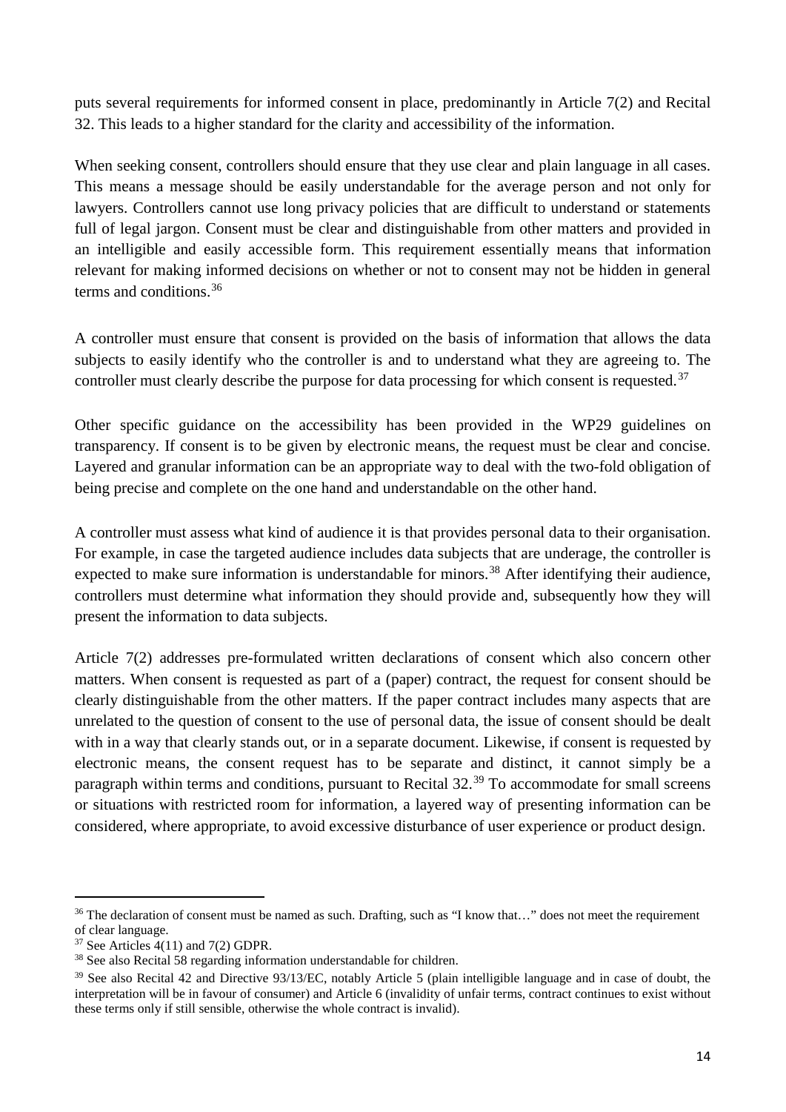puts several requirements for informed consent in place, predominantly in Article 7(2) and Recital 32. This leads to a higher standard for the clarity and accessibility of the information.

When seeking consent, controllers should ensure that they use clear and plain language in all cases. This means a message should be easily understandable for the average person and not only for lawyers. Controllers cannot use long privacy policies that are difficult to understand or statements full of legal jargon. Consent must be clear and distinguishable from other matters and provided in an intelligible and easily accessible form. This requirement essentially means that information relevant for making informed decisions on whether or not to consent may not be hidden in general terms and conditions.[36](#page-13-0)

A controller must ensure that consent is provided on the basis of information that allows the data subjects to easily identify who the controller is and to understand what they are agreeing to. The controller must clearly describe the purpose for data processing for which consent is requested.<sup>[37](#page-13-1)</sup>

Other specific guidance on the accessibility has been provided in the WP29 guidelines on transparency. If consent is to be given by electronic means, the request must be clear and concise. Layered and granular information can be an appropriate way to deal with the two-fold obligation of being precise and complete on the one hand and understandable on the other hand.

A controller must assess what kind of audience it is that provides personal data to their organisation. For example, in case the targeted audience includes data subjects that are underage, the controller is expected to make sure information is understandable for minors.<sup>[38](#page-13-2)</sup> After identifying their audience, controllers must determine what information they should provide and, subsequently how they will present the information to data subjects.

Article 7(2) addresses pre-formulated written declarations of consent which also concern other matters. When consent is requested as part of a (paper) contract, the request for consent should be clearly distinguishable from the other matters. If the paper contract includes many aspects that are unrelated to the question of consent to the use of personal data, the issue of consent should be dealt with in a way that clearly stands out, or in a separate document. Likewise, if consent is requested by electronic means, the consent request has to be separate and distinct, it cannot simply be a paragraph within terms and conditions, pursuant to Recital 32.<sup>[39](#page-13-3)</sup> To accommodate for small screens or situations with restricted room for information, a layered way of presenting information can be considered, where appropriate, to avoid excessive disturbance of user experience or product design.

<span id="page-13-0"></span><sup>&</sup>lt;sup>36</sup> The declaration of consent must be named as such. Drafting, such as "I know that..." does not meet the requirement of clear language.

<span id="page-13-1"></span> $37$  See Articles  $4(11)$  and  $7(2)$  GDPR.

<span id="page-13-2"></span><sup>38</sup> See also Recital 58 regarding information understandable for children.

<span id="page-13-3"></span><sup>&</sup>lt;sup>39</sup> See also Recital 42 and Directive 93/13/EC, notably Article 5 (plain intelligible language and in case of doubt, the interpretation will be in favour of consumer) and Article 6 (invalidity of unfair terms, contract continues to exist without these terms only if still sensible, otherwise the whole contract is invalid).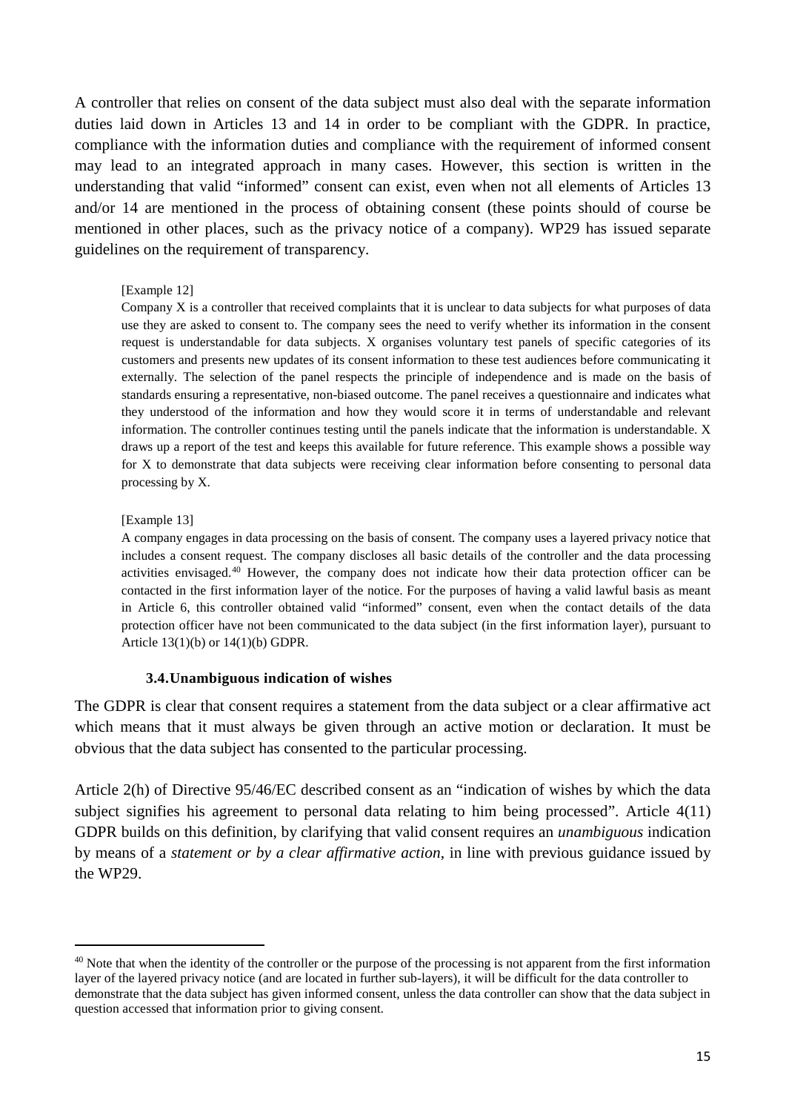A controller that relies on consent of the data subject must also deal with the separate information duties laid down in Articles 13 and 14 in order to be compliant with the GDPR. In practice, compliance with the information duties and compliance with the requirement of informed consent may lead to an integrated approach in many cases. However, this section is written in the understanding that valid "informed" consent can exist, even when not all elements of Articles 13 and/or 14 are mentioned in the process of obtaining consent (these points should of course be mentioned in other places, such as the privacy notice of a company). WP29 has issued separate guidelines on the requirement of transparency.

#### [Example 12]

Company X is a controller that received complaints that it is unclear to data subjects for what purposes of data use they are asked to consent to. The company sees the need to verify whether its information in the consent request is understandable for data subjects. X organises voluntary test panels of specific categories of its customers and presents new updates of its consent information to these test audiences before communicating it externally. The selection of the panel respects the principle of independence and is made on the basis of standards ensuring a representative, non-biased outcome. The panel receives a questionnaire and indicates what they understood of the information and how they would score it in terms of understandable and relevant information. The controller continues testing until the panels indicate that the information is understandable. X draws up a report of the test and keeps this available for future reference. This example shows a possible way for X to demonstrate that data subjects were receiving clear information before consenting to personal data processing by X.

#### [Example 13]

A company engages in data processing on the basis of consent. The company uses a layered privacy notice that includes a consent request. The company discloses all basic details of the controller and the data processing activities envisaged.[40](#page-14-1) However, the company does not indicate how their data protection officer can be contacted in the first information layer of the notice. For the purposes of having a valid lawful basis as meant in Article 6, this controller obtained valid "informed" consent, even when the contact details of the data protection officer have not been communicated to the data subject (in the first information layer), pursuant to Article 13(1)(b) or 14(1)(b) GDPR.

#### **3.4.Unambiguous indication of wishes**

<span id="page-14-0"></span>The GDPR is clear that consent requires a statement from the data subject or a clear affirmative act which means that it must always be given through an active motion or declaration. It must be obvious that the data subject has consented to the particular processing.

Article 2(h) of Directive 95/46/EC described consent as an "indication of wishes by which the data subject signifies his agreement to personal data relating to him being processed". Article 4(11) GDPR builds on this definition, by clarifying that valid consent requires an *unambiguous* indication by means of a *statement or by a clear affirmative action*, in line with previous guidance issued by the WP29.

<span id="page-14-1"></span><sup>&</sup>lt;sup>40</sup> Note that when the identity of the controller or the purpose of the processing is not apparent from the first information layer of the layered privacy notice (and are located in further sub-layers), it will be difficult for the data controller to demonstrate that the data subject has given informed consent, unless the data controller can show that the data subject in question accessed that information prior to giving consent.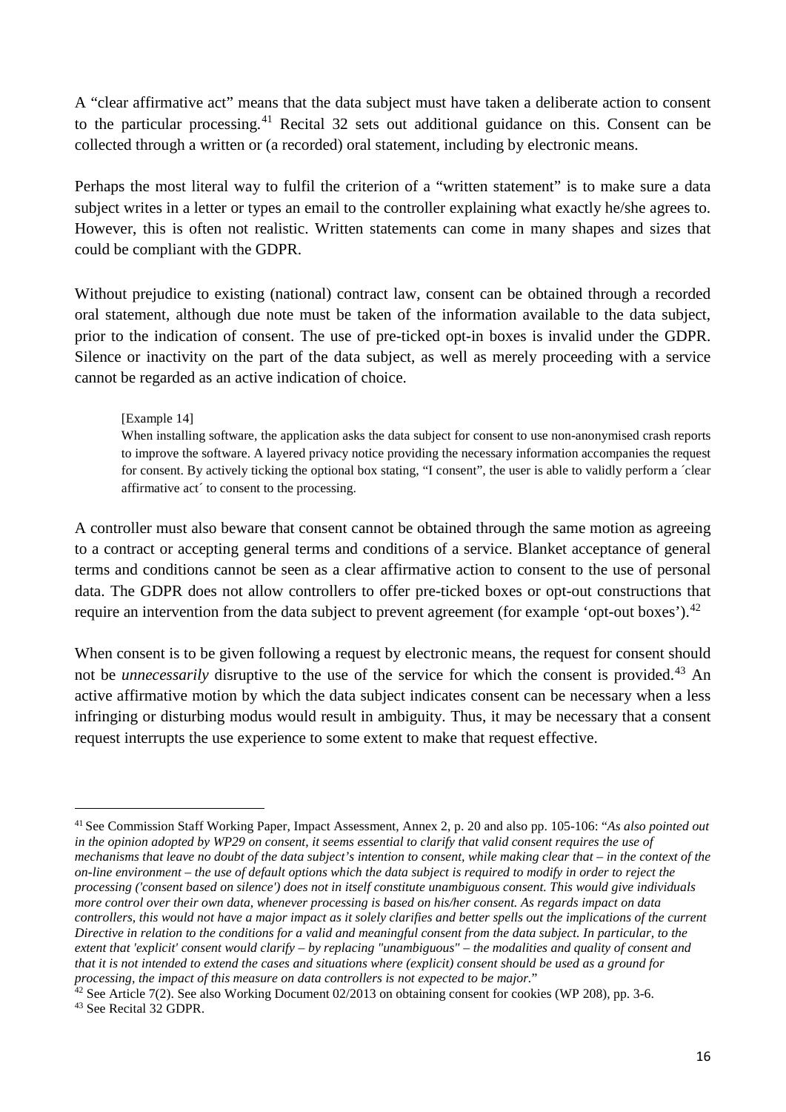A "clear affirmative act" means that the data subject must have taken a deliberate action to consent to the particular processing.<sup>[41](#page-15-0)</sup> Recital 32 sets out additional guidance on this. Consent can be collected through a written or (a recorded) oral statement, including by electronic means.

Perhaps the most literal way to fulfil the criterion of a "written statement" is to make sure a data subject writes in a letter or types an email to the controller explaining what exactly he/she agrees to. However, this is often not realistic. Written statements can come in many shapes and sizes that could be compliant with the GDPR.

Without prejudice to existing (national) contract law, consent can be obtained through a recorded oral statement, although due note must be taken of the information available to the data subject, prior to the indication of consent. The use of pre-ticked opt-in boxes is invalid under the GDPR. Silence or inactivity on the part of the data subject, as well as merely proceeding with a service cannot be regarded as an active indication of choice.

### [Example 14]

When installing software, the application asks the data subject for consent to use non-anonymised crash reports to improve the software. A layered privacy notice providing the necessary information accompanies the request for consent. By actively ticking the optional box stating, "I consent", the user is able to validly perform a ´clear affirmative act´ to consent to the processing.

A controller must also beware that consent cannot be obtained through the same motion as agreeing to a contract or accepting general terms and conditions of a service. Blanket acceptance of general terms and conditions cannot be seen as a clear affirmative action to consent to the use of personal data. The GDPR does not allow controllers to offer pre-ticked boxes or opt-out constructions that require an intervention from the data subject to prevent agreement (for example 'opt-out boxes').<sup>[42](#page-15-1)</sup>

When consent is to be given following a request by electronic means, the request for consent should not be *unnecessarily* disruptive to the use of the service for which the consent is provided. [43](#page-15-2) An active affirmative motion by which the data subject indicates consent can be necessary when a less infringing or disturbing modus would result in ambiguity. Thus, it may be necessary that a consent request interrupts the use experience to some extent to make that request effective.

<span id="page-15-0"></span> <sup>41</sup> See Commission Staff Working Paper, Impact Assessment, Annex 2, p. 20 and also pp. 105-106: "*As also pointed out*  in the opinion adopted by WP29 on consent, it seems essential to clarify that valid consent requires the use of *mechanisms that leave no doubt of the data subject's intention to consent, while making clear that – in the context of the on-line environment – the use of default options which the data subject is required to modify in order to reject the processing ('consent based on silence') does not in itself constitute unambiguous consent. This would give individuals more control over their own data, whenever processing is based on his/her consent. As regards impact on data controllers, this would not have a major impact as it solely clarifies and better spells out the implications of the current Directive in relation to the conditions for a valid and meaningful consent from the data subject. In particular, to the extent that 'explicit' consent would clarify – by replacing "unambiguous" – the modalities and quality of consent and that it is not intended to extend the cases and situations where (explicit) consent should be used as a ground for processing, the impact of this measure on data controllers is not expected to be major.*"

<span id="page-15-2"></span><span id="page-15-1"></span> $42$  See Article 7(2). See also Working Document 02/2013 on obtaining consent for cookies (WP 208), pp. 3-6.  $43$  See Recital 32 GDPR.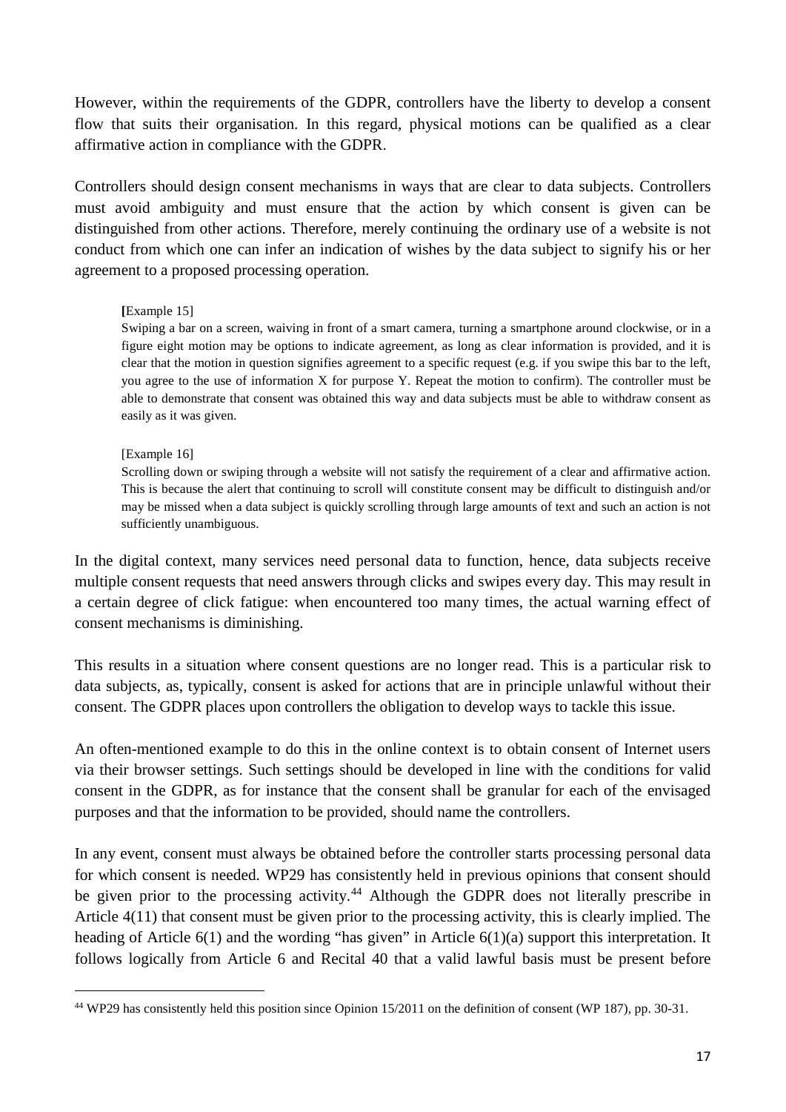However, within the requirements of the GDPR, controllers have the liberty to develop a consent flow that suits their organisation. In this regard, physical motions can be qualified as a clear affirmative action in compliance with the GDPR.

Controllers should design consent mechanisms in ways that are clear to data subjects. Controllers must avoid ambiguity and must ensure that the action by which consent is given can be distinguished from other actions. Therefore, merely continuing the ordinary use of a website is not conduct from which one can infer an indication of wishes by the data subject to signify his or her agreement to a proposed processing operation.

### **[**Example 15]

Swiping a bar on a screen, waiving in front of a smart camera, turning a smartphone around clockwise, or in a figure eight motion may be options to indicate agreement, as long as clear information is provided, and it is clear that the motion in question signifies agreement to a specific request (e.g. if you swipe this bar to the left, you agree to the use of information X for purpose Y. Repeat the motion to confirm). The controller must be able to demonstrate that consent was obtained this way and data subjects must be able to withdraw consent as easily as it was given.

#### [Example 16]

Scrolling down or swiping through a website will not satisfy the requirement of a clear and affirmative action. This is because the alert that continuing to scroll will constitute consent may be difficult to distinguish and/or may be missed when a data subject is quickly scrolling through large amounts of text and such an action is not sufficiently unambiguous.

In the digital context, many services need personal data to function, hence, data subjects receive multiple consent requests that need answers through clicks and swipes every day. This may result in a certain degree of click fatigue: when encountered too many times, the actual warning effect of consent mechanisms is diminishing.

This results in a situation where consent questions are no longer read. This is a particular risk to data subjects, as, typically, consent is asked for actions that are in principle unlawful without their consent. The GDPR places upon controllers the obligation to develop ways to tackle this issue.

An often-mentioned example to do this in the online context is to obtain consent of Internet users via their browser settings. Such settings should be developed in line with the conditions for valid consent in the GDPR, as for instance that the consent shall be granular for each of the envisaged purposes and that the information to be provided, should name the controllers.

In any event, consent must always be obtained before the controller starts processing personal data for which consent is needed. WP29 has consistently held in previous opinions that consent should be given prior to the processing activity.<sup>[44](#page-16-0)</sup> Although the GDPR does not literally prescribe in Article 4(11) that consent must be given prior to the processing activity, this is clearly implied. The heading of Article 6(1) and the wording "has given" in Article 6(1)(a) support this interpretation. It follows logically from Article 6 and Recital 40 that a valid lawful basis must be present before

<span id="page-16-0"></span> <sup>44</sup> WP29 has consistently held this position since Opinion 15/2011 on the definition of consent (WP 187), pp. 30-31.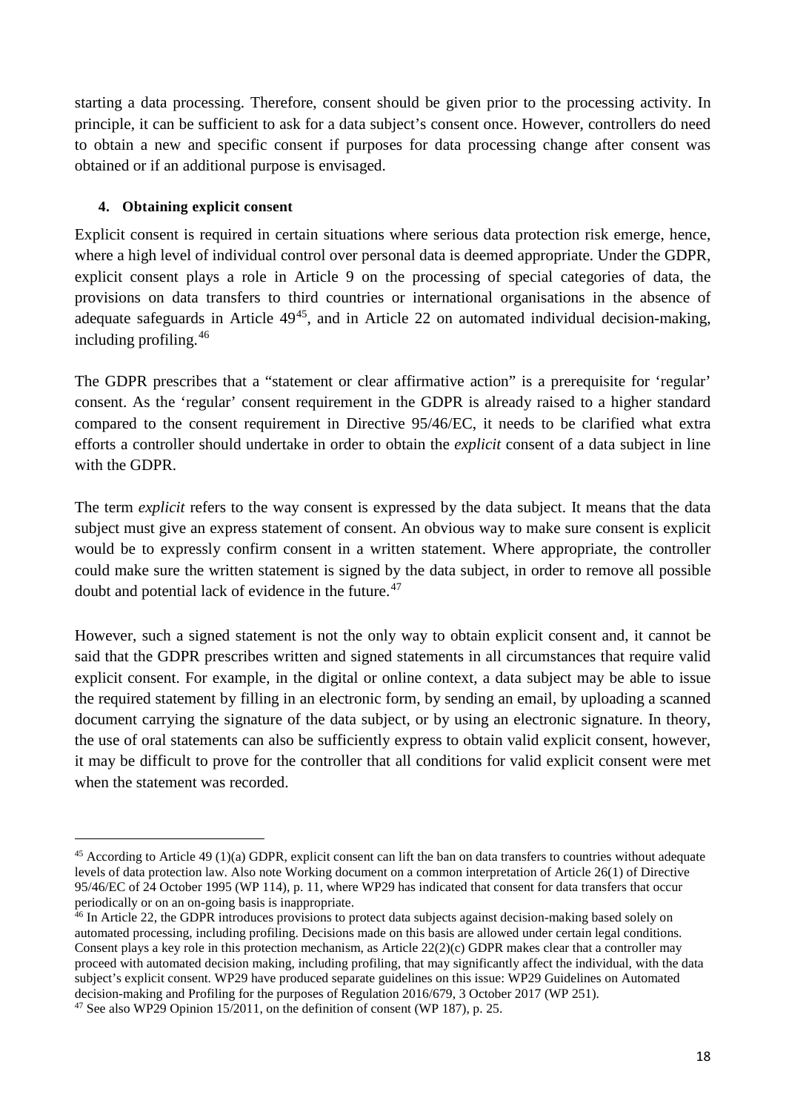starting a data processing. Therefore, consent should be given prior to the processing activity. In principle, it can be sufficient to ask for a data subject's consent once. However, controllers do need to obtain a new and specific consent if purposes for data processing change after consent was obtained or if an additional purpose is envisaged.

## <span id="page-17-0"></span>**4. Obtaining explicit consent**

Explicit consent is required in certain situations where serious data protection risk emerge, hence, where a high level of individual control over personal data is deemed appropriate. Under the GDPR, explicit consent plays a role in Article 9 on the processing of special categories of data, the provisions on data transfers to third countries or international organisations in the absence of adequate safeguards in Article  $49^{45}$ , and in Article 22 on automated individual decision-making, including profiling. [46](#page-17-2)

The GDPR prescribes that a "statement or clear affirmative action" is a prerequisite for 'regular' consent. As the 'regular' consent requirement in the GDPR is already raised to a higher standard compared to the consent requirement in Directive 95/46/EC, it needs to be clarified what extra efforts a controller should undertake in order to obtain the *explicit* consent of a data subject in line with the GDPR.

The term *explicit* refers to the way consent is expressed by the data subject. It means that the data subject must give an express statement of consent. An obvious way to make sure consent is explicit would be to expressly confirm consent in a written statement. Where appropriate, the controller could make sure the written statement is signed by the data subject, in order to remove all possible doubt and potential lack of evidence in the future.<sup>[47](#page-17-3)</sup>

However, such a signed statement is not the only way to obtain explicit consent and, it cannot be said that the GDPR prescribes written and signed statements in all circumstances that require valid explicit consent. For example, in the digital or online context, a data subject may be able to issue the required statement by filling in an electronic form, by sending an email, by uploading a scanned document carrying the signature of the data subject, or by using an electronic signature. In theory, the use of oral statements can also be sufficiently express to obtain valid explicit consent, however, it may be difficult to prove for the controller that all conditions for valid explicit consent were met when the statement was recorded.

<span id="page-17-1"></span> $45$  According to Article 49 (1)(a) GDPR, explicit consent can lift the ban on data transfers to countries without adequate levels of data protection law. Also note Working document on a common interpretation of Article 26(1) of Directive 95/46/EC of 24 October 1995 (WP 114), p. 11, where WP29 has indicated that consent for data transfers that occur periodically or on an on-going basis is inappropriate.

<span id="page-17-2"></span><sup>&</sup>lt;sup>46</sup> In Article 22, the GDPR introduces provisions to protect data subjects against decision-making based solely on automated processing, including profiling. Decisions made on this basis are allowed under certain legal conditions. Consent plays a key role in this protection mechanism, as Article  $22(2)(c)$  GDPR makes clear that a controller may proceed with automated decision making, including profiling, that may significantly affect the individual, with the data subject's explicit consent. WP29 have produced separate guidelines on this issue: WP29 Guidelines on Automated decision-making and Profiling for the purposes of Regulation 2016/679, 3 October 2017 (WP 251).

<span id="page-17-3"></span> $47$  See also WP29 Opinion 15/2011, on the definition of consent (WP 187), p. 25.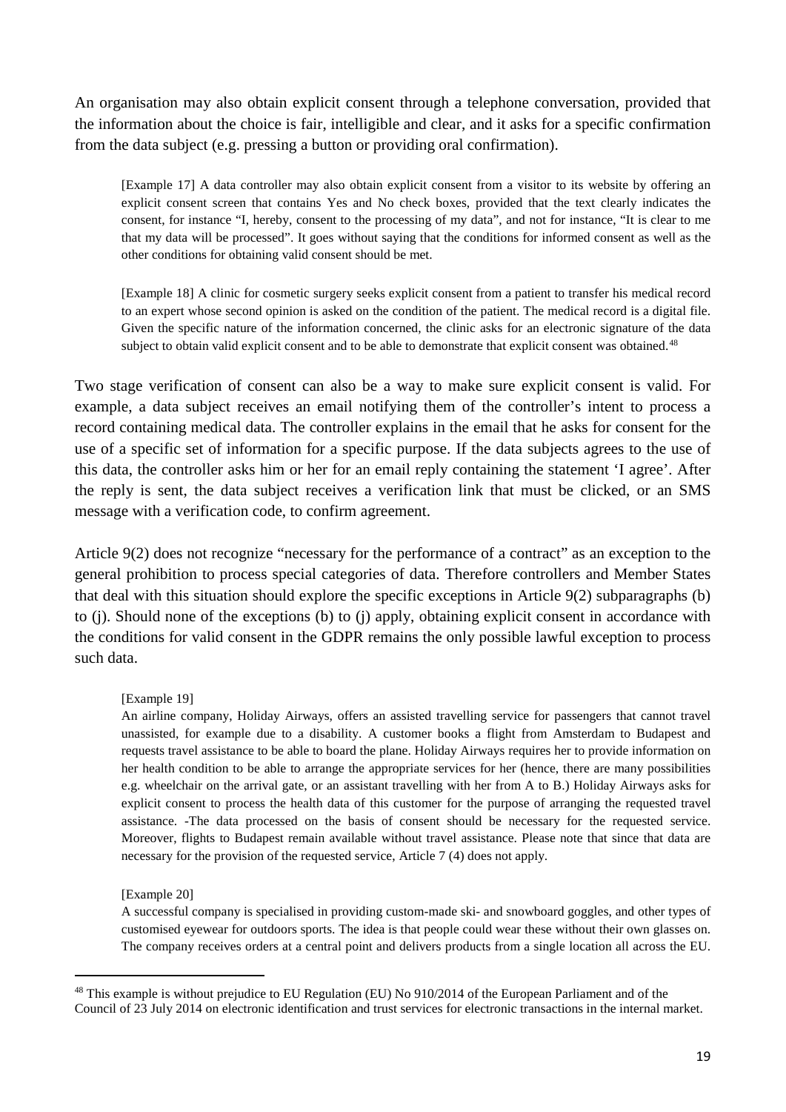An organisation may also obtain explicit consent through a telephone conversation, provided that the information about the choice is fair, intelligible and clear, and it asks for a specific confirmation from the data subject (e.g. pressing a button or providing oral confirmation).

[Example 17] A data controller may also obtain explicit consent from a visitor to its website by offering an explicit consent screen that contains Yes and No check boxes, provided that the text clearly indicates the consent, for instance "I, hereby, consent to the processing of my data", and not for instance, "It is clear to me that my data will be processed". It goes without saying that the conditions for informed consent as well as the other conditions for obtaining valid consent should be met.

[Example 18] A clinic for cosmetic surgery seeks explicit consent from a patient to transfer his medical record to an expert whose second opinion is asked on the condition of the patient. The medical record is a digital file. Given the specific nature of the information concerned, the clinic asks for an electronic signature of the data subject to obtain valid explicit consent and to be able to demonstrate that explicit consent was obtained.<sup>[48](#page-18-0)</sup>

Two stage verification of consent can also be a way to make sure explicit consent is valid. For example, a data subject receives an email notifying them of the controller's intent to process a record containing medical data. The controller explains in the email that he asks for consent for the use of a specific set of information for a specific purpose. If the data subjects agrees to the use of this data, the controller asks him or her for an email reply containing the statement 'I agree'. After the reply is sent, the data subject receives a verification link that must be clicked, or an SMS message with a verification code, to confirm agreement.

Article 9(2) does not recognize "necessary for the performance of a contract" as an exception to the general prohibition to process special categories of data. Therefore controllers and Member States that deal with this situation should explore the specific exceptions in Article 9(2) subparagraphs (b) to (j). Should none of the exceptions (b) to (j) apply, obtaining explicit consent in accordance with the conditions for valid consent in the GDPR remains the only possible lawful exception to process such data.

#### [Example 19]

An airline company, Holiday Airways, offers an assisted travelling service for passengers that cannot travel unassisted, for example due to a disability. A customer books a flight from Amsterdam to Budapest and requests travel assistance to be able to board the plane. Holiday Airways requires her to provide information on her health condition to be able to arrange the appropriate services for her (hence, there are many possibilities e.g. wheelchair on the arrival gate, or an assistant travelling with her from A to B.) Holiday Airways asks for explicit consent to process the health data of this customer for the purpose of arranging the requested travel assistance. -The data processed on the basis of consent should be necessary for the requested service. Moreover, flights to Budapest remain available without travel assistance. Please note that since that data are necessary for the provision of the requested service, Article 7 (4) does not apply.

#### [Example 20]

A successful company is specialised in providing custom-made ski- and snowboard goggles, and other types of customised eyewear for outdoors sports. The idea is that people could wear these without their own glasses on. The company receives orders at a central point and delivers products from a single location all across the EU.

<span id="page-18-0"></span><sup>&</sup>lt;sup>48</sup> This example is without prejudice to EU Regulation (EU) No 910/2014 of the European Parliament and of the Council of 23 July 2014 on electronic identification and trust services for electronic transactions in the internal market.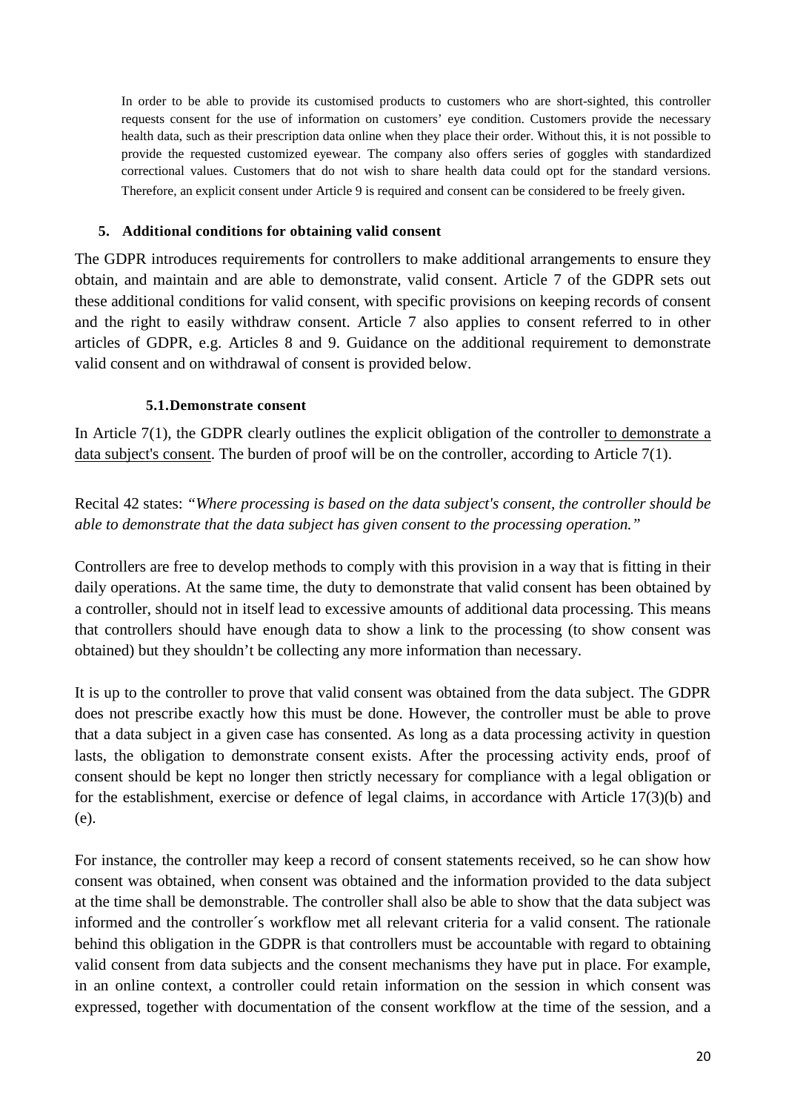In order to be able to provide its customised products to customers who are short-sighted, this controller requests consent for the use of information on customers' eye condition. Customers provide the necessary health data, such as their prescription data online when they place their order. Without this, it is not possible to provide the requested customized eyewear. The company also offers series of goggles with standardized correctional values. Customers that do not wish to share health data could opt for the standard versions. Therefore, an explicit consent under Article 9 is required and consent can be considered to be freely given.

## <span id="page-19-0"></span>**5. Additional conditions for obtaining valid consent**

The GDPR introduces requirements for controllers to make additional arrangements to ensure they obtain, and maintain and are able to demonstrate, valid consent. Article 7 of the GDPR sets out these additional conditions for valid consent, with specific provisions on keeping records of consent and the right to easily withdraw consent. Article 7 also applies to consent referred to in other articles of GDPR, e.g. Articles 8 and 9. Guidance on the additional requirement to demonstrate valid consent and on withdrawal of consent is provided below.

## **5.1.Demonstrate consent**

<span id="page-19-1"></span>In Article 7(1), the GDPR clearly outlines the explicit obligation of the controller to demonstrate a data subject's consent. The burden of proof will be on the controller, according to Article 7(1).

Recital 42 states: *"Where processing is based on the data subject's consent, the controller should be able to demonstrate that the data subject has given consent to the processing operation."*

Controllers are free to develop methods to comply with this provision in a way that is fitting in their daily operations. At the same time, the duty to demonstrate that valid consent has been obtained by a controller, should not in itself lead to excessive amounts of additional data processing. This means that controllers should have enough data to show a link to the processing (to show consent was obtained) but they shouldn't be collecting any more information than necessary.

It is up to the controller to prove that valid consent was obtained from the data subject. The GDPR does not prescribe exactly how this must be done. However, the controller must be able to prove that a data subject in a given case has consented. As long as a data processing activity in question lasts, the obligation to demonstrate consent exists. After the processing activity ends, proof of consent should be kept no longer then strictly necessary for compliance with a legal obligation or for the establishment, exercise or defence of legal claims, in accordance with Article 17(3)(b) and (e).

For instance, the controller may keep a record of consent statements received, so he can show how consent was obtained, when consent was obtained and the information provided to the data subject at the time shall be demonstrable. The controller shall also be able to show that the data subject was informed and the controller´s workflow met all relevant criteria for a valid consent. The rationale behind this obligation in the GDPR is that controllers must be accountable with regard to obtaining valid consent from data subjects and the consent mechanisms they have put in place. For example, in an online context, a controller could retain information on the session in which consent was expressed, together with documentation of the consent workflow at the time of the session, and a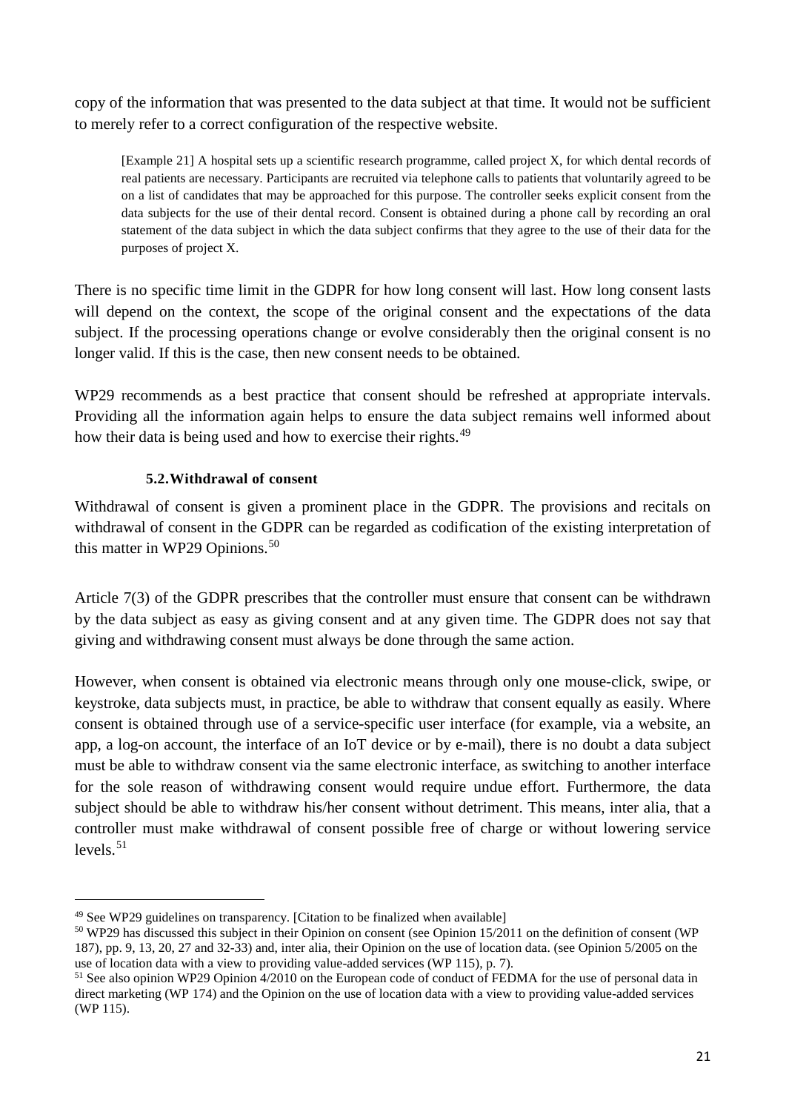copy of the information that was presented to the data subject at that time. It would not be sufficient to merely refer to a correct configuration of the respective website.

[Example 21] A hospital sets up a scientific research programme, called project X, for which dental records of real patients are necessary. Participants are recruited via telephone calls to patients that voluntarily agreed to be on a list of candidates that may be approached for this purpose. The controller seeks explicit consent from the data subjects for the use of their dental record. Consent is obtained during a phone call by recording an oral statement of the data subject in which the data subject confirms that they agree to the use of their data for the purposes of project X.

There is no specific time limit in the GDPR for how long consent will last. How long consent lasts will depend on the context, the scope of the original consent and the expectations of the data subject. If the processing operations change or evolve considerably then the original consent is no longer valid. If this is the case, then new consent needs to be obtained.

WP29 recommends as a best practice that consent should be refreshed at appropriate intervals. Providing all the information again helps to ensure the data subject remains well informed about how their data is being used and how to exercise their rights.<sup>[49](#page-20-1)</sup>

# **5.2.Withdrawal of consent**

<span id="page-20-0"></span>Withdrawal of consent is given a prominent place in the GDPR. The provisions and recitals on withdrawal of consent in the GDPR can be regarded as codification of the existing interpretation of this matter in WP29 Opinions. $50$ 

Article 7(3) of the GDPR prescribes that the controller must ensure that consent can be withdrawn by the data subject as easy as giving consent and at any given time. The GDPR does not say that giving and withdrawing consent must always be done through the same action.

However, when consent is obtained via electronic means through only one mouse-click, swipe, or keystroke, data subjects must, in practice, be able to withdraw that consent equally as easily. Where consent is obtained through use of a service-specific user interface (for example, via a website, an app, a log-on account, the interface of an IoT device or by e-mail), there is no doubt a data subject must be able to withdraw consent via the same electronic interface, as switching to another interface for the sole reason of withdrawing consent would require undue effort. Furthermore, the data subject should be able to withdraw his/her consent without detriment. This means, inter alia, that a controller must make withdrawal of consent possible free of charge or without lowering service levels. [51](#page-20-3)

<span id="page-20-1"></span> <sup>49</sup> See WP29 guidelines on transparency. [Citation to be finalized when available]

<span id="page-20-2"></span><sup>50</sup> WP29 has discussed this subject in their Opinion on consent (see Opinion 15/2011 on the definition of consent (WP 187), pp. 9, 13, 20, 27 and 32-33) and, inter alia, their Opinion on the use of location data. (see Opinion 5/2005 on the use of location data with a view to providing value-added services (WP 115), p. 7).

<span id="page-20-3"></span><sup>&</sup>lt;sup>51</sup> See also opinion WP29 Opinion 4/2010 on the European code of conduct of FEDMA for the use of personal data in direct marketing (WP 174) and the Opinion on the use of location data with a view to providing value-added services (WP 115).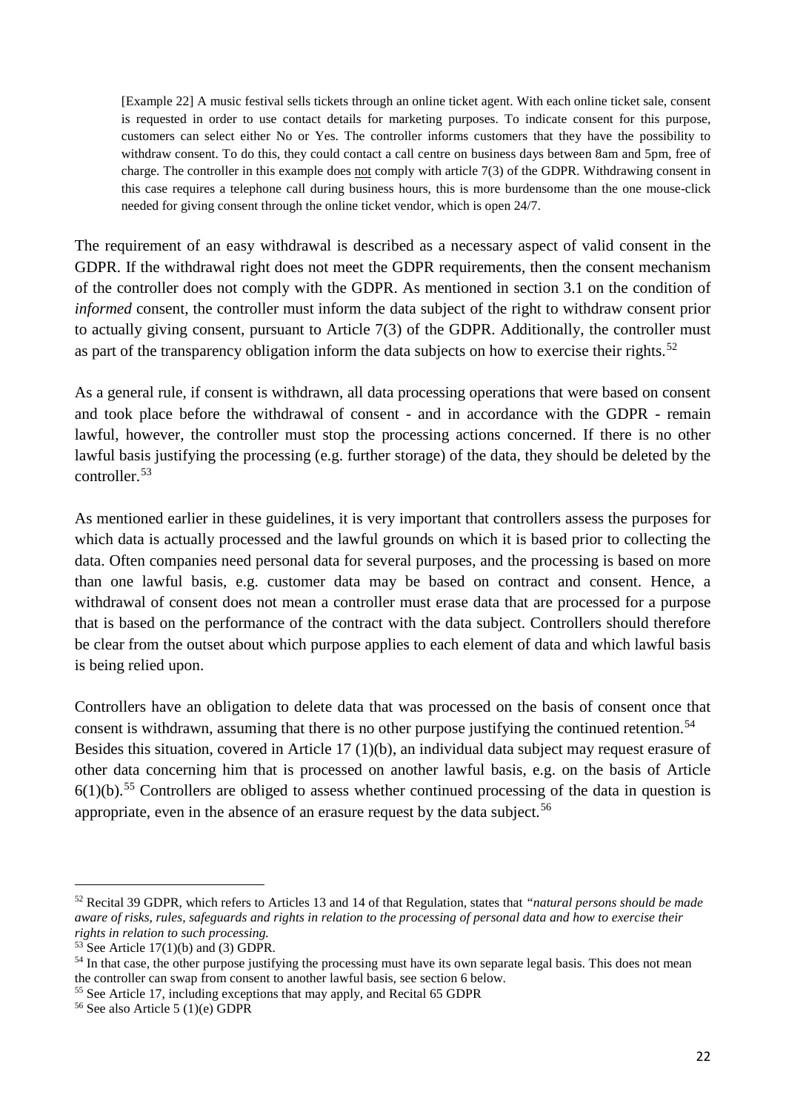[Example 22] A music festival sells tickets through an online ticket agent. With each online ticket sale, consent is requested in order to use contact details for marketing purposes. To indicate consent for this purpose, customers can select either No or Yes. The controller informs customers that they have the possibility to withdraw consent. To do this, they could contact a call centre on business days between 8am and 5pm, free of charge. The controller in this example does not comply with article 7(3) of the GDPR. Withdrawing consent in this case requires a telephone call during business hours, this is more burdensome than the one mouse-click needed for giving consent through the online ticket vendor, which is open 24/7.

The requirement of an easy withdrawal is described as a necessary aspect of valid consent in the GDPR. If the withdrawal right does not meet the GDPR requirements, then the consent mechanism of the controller does not comply with the GDPR. As mentioned in section 3.1 on the condition of *informed* consent, the controller must inform the data subject of the right to withdraw consent prior to actually giving consent, pursuant to Article 7(3) of the GDPR. Additionally, the controller must as part of the transparency obligation inform the data subjects on how to exercise their rights.<sup>[52](#page-21-0)</sup>

As a general rule, if consent is withdrawn, all data processing operations that were based on consent and took place before the withdrawal of consent - and in accordance with the GDPR - remain lawful, however, the controller must stop the processing actions concerned. If there is no other lawful basis justifying the processing (e.g. further storage) of the data, they should be deleted by the controller.[53](#page-21-1)

As mentioned earlier in these guidelines, it is very important that controllers assess the purposes for which data is actually processed and the lawful grounds on which it is based prior to collecting the data. Often companies need personal data for several purposes, and the processing is based on more than one lawful basis, e.g. customer data may be based on contract and consent. Hence, a withdrawal of consent does not mean a controller must erase data that are processed for a purpose that is based on the performance of the contract with the data subject. Controllers should therefore be clear from the outset about which purpose applies to each element of data and which lawful basis is being relied upon.

Controllers have an obligation to delete data that was processed on the basis of consent once that consent is withdrawn, assuming that there is no other purpose justifying the continued retention.<sup>[54](#page-21-2)</sup> Besides this situation, covered in Article 17 (1)(b), an individual data subject may request erasure of other data concerning him that is processed on another lawful basis, e.g. on the basis of Article  $6(1)(b)$ <sup>[55](#page-21-3)</sup> Controllers are obliged to assess whether continued processing of the data in question is appropriate, even in the absence of an erasure request by the data subject.<sup>[56](#page-21-4)</sup>

<span id="page-21-0"></span> <sup>52</sup> Recital 39 GDPR, which refers to Articles 13 and 14 of that Regulation, states that *"natural persons should be made aware of risks, rules, safeguards and rights in relation to the processing of personal data and how to exercise their rights in relation to such processing.*

<span id="page-21-1"></span> $53$  See Article 17(1)(b) and (3) GDPR.

<span id="page-21-2"></span> $<sup>54</sup>$  In that case, the other purpose justifying the processing must have its own separate legal basis. This does not mean</sup> the controller can swap from consent to another lawful basis, see section 6 below.

<span id="page-21-3"></span><sup>&</sup>lt;sup>55</sup> See Article 17, including exceptions that may apply, and Recital 65 GDPR

<span id="page-21-4"></span><sup>&</sup>lt;sup>56</sup> See also Article 5 (1)(e) GDPR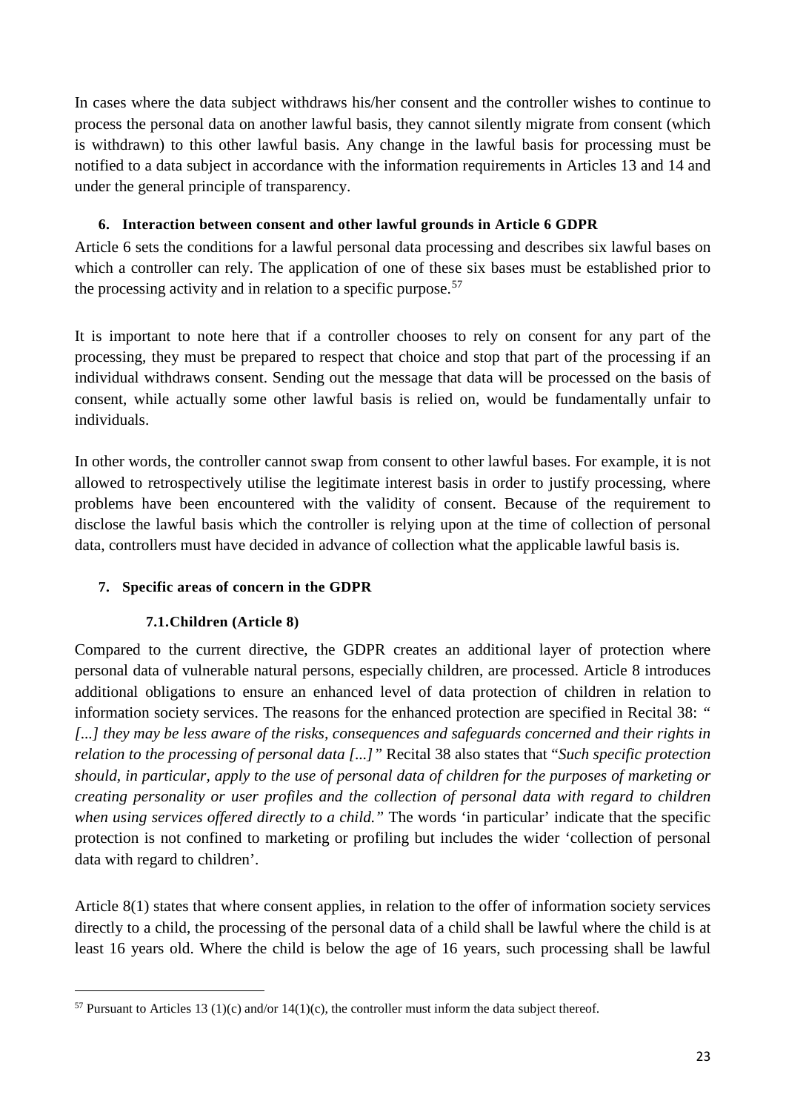In cases where the data subject withdraws his/her consent and the controller wishes to continue to process the personal data on another lawful basis, they cannot silently migrate from consent (which is withdrawn) to this other lawful basis. Any change in the lawful basis for processing must be notified to a data subject in accordance with the information requirements in Articles 13 and 14 and under the general principle of transparency.

## **6. Interaction between consent and other lawful grounds in Article 6 GDPR**

<span id="page-22-0"></span>Article 6 sets the conditions for a lawful personal data processing and describes six lawful bases on which a controller can rely. The application of one of these six bases must be established prior to the processing activity and in relation to a specific purpose.<sup>[57](#page-22-3)</sup>

It is important to note here that if a controller chooses to rely on consent for any part of the processing, they must be prepared to respect that choice and stop that part of the processing if an individual withdraws consent. Sending out the message that data will be processed on the basis of consent, while actually some other lawful basis is relied on, would be fundamentally unfair to individuals.

In other words, the controller cannot swap from consent to other lawful bases. For example, it is not allowed to retrospectively utilise the legitimate interest basis in order to justify processing, where problems have been encountered with the validity of consent. Because of the requirement to disclose the lawful basis which the controller is relying upon at the time of collection of personal data, controllers must have decided in advance of collection what the applicable lawful basis is.

# <span id="page-22-2"></span><span id="page-22-1"></span>**7. Specific areas of concern in the GDPR**

# **7.1.Children (Article 8)**

Compared to the current directive, the GDPR creates an additional layer of protection where personal data of vulnerable natural persons, especially children, are processed. Article 8 introduces additional obligations to ensure an enhanced level of data protection of children in relation to information society services. The reasons for the enhanced protection are specified in Recital 38: *" [...] they may be less aware of the risks, consequences and safeguards concerned and their rights in relation to the processing of personal data [...]"* Recital 38 also states that "*Such specific protection should, in particular, apply to the use of personal data of children for the purposes of marketing or creating personality or user profiles and the collection of personal data with regard to children when using services offered directly to a child."* The words 'in particular' indicate that the specific protection is not confined to marketing or profiling but includes the wider 'collection of personal data with regard to children'.

Article 8(1) states that where consent applies, in relation to the offer of information society services directly to a child, the processing of the personal data of a child shall be lawful where the child is at least 16 years old. Where the child is below the age of 16 years, such processing shall be lawful

<span id="page-22-3"></span><sup>&</sup>lt;sup>57</sup> Pursuant to Articles 13 (1)(c) and/or 14(1)(c), the controller must inform the data subject thereof.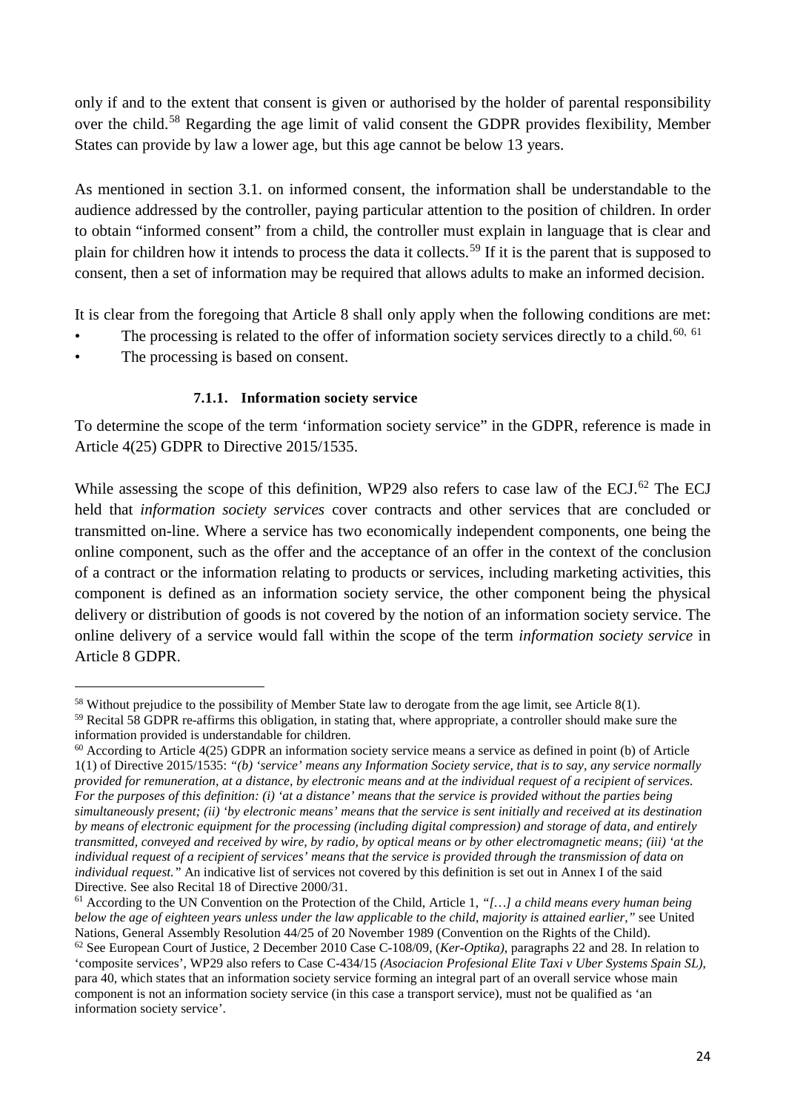only if and to the extent that consent is given or authorised by the holder of parental responsibility over the child.[58](#page-23-1) Regarding the age limit of valid consent the GDPR provides flexibility, Member States can provide by law a lower age, but this age cannot be below 13 years.

As mentioned in section 3.1. on informed consent, the information shall be understandable to the audience addressed by the controller, paying particular attention to the position of children. In order to obtain "informed consent" from a child, the controller must explain in language that is clear and plain for children how it intends to process the data it collects.[59](#page-23-2) If it is the parent that is supposed to consent, then a set of information may be required that allows adults to make an informed decision.

It is clear from the foregoing that Article 8 shall only apply when the following conditions are met:

- The processing is related to the offer of information society services directly to a child.<sup>[60](#page-23-3), [61](#page-23-4)</sup>
- The processing is based on consent.

# **7.1.1. Information society service**

<span id="page-23-0"></span>To determine the scope of the term 'information society service" in the GDPR, reference is made in Article 4(25) GDPR to Directive 2015/1535.

While assessing the scope of this definition, WP29 also refers to case law of the ECJ.<sup>[62](#page-23-5)</sup> The ECJ held that *information society services* cover contracts and other services that are concluded or transmitted on-line. Where a service has two economically independent components, one being the online component, such as the offer and the acceptance of an offer in the context of the conclusion of a contract or the information relating to products or services, including marketing activities, this component is defined as an information society service, the other component being the physical delivery or distribution of goods is not covered by the notion of an information society service. The online delivery of a service would fall within the scope of the term *information society service* in Article 8 GDPR.

<span id="page-23-1"></span> <sup>58</sup> Without prejudice to the possibility of Member State law to derogate from the age limit, see Article 8(1).

<span id="page-23-2"></span><sup>&</sup>lt;sup>59</sup> Recital 58 GDPR re-affirms this obligation, in stating that, where appropriate, a controller should make sure the information provided is understandable for children.

<span id="page-23-3"></span> $60$  According to Article 4(25) GDPR an information society service means a service as defined in point (b) of Article 1(1) of Directive 2015/1535: *"(b) 'service' means any Information Society service, that is to say, any service normally provided for remuneration, at a distance, by electronic means and at the individual request of a recipient of services. For the purposes of this definition: (i) 'at a distance' means that the service is provided without the parties being simultaneously present; (ii) 'by electronic means' means that the service is sent initially and received at its destination by means of electronic equipment for the processing (including digital compression) and storage of data, and entirely transmitted, conveyed and received by wire, by radio, by optical means or by other electromagnetic means; (iii) 'at the individual request of a recipient of services' means that the service is provided through the transmission of data on individual request."* An indicative list of services not covered by this definition is set out in Annex I of the said Directive. See also Recital 18 of Directive 2000/31.

<span id="page-23-4"></span><sup>61</sup> According to the UN Convention on the Protection of the Child, Article 1, *"[…] a child means every human being below the age of eighteen years unless under the law applicable to the child, majority is attained earlier,"* see United Nations, General Assembly Resolution 44/25 of 20 November 1989 (Convention on the Rights of the Child).

<span id="page-23-5"></span><sup>62</sup> See European Court of Justice, 2 December 2010 Case C-108/09, (*Ker-Optika)*, paragraphs 22 and 28. In relation to 'composite services', WP29 also refers to Case C-434/15 *(Asociacion Profesional Elite Taxi v Uber Systems Spain SL)*, para 40, which states that an information society service forming an integral part of an overall service whose main component is not an information society service (in this case a transport service), must not be qualified as 'an information society service'.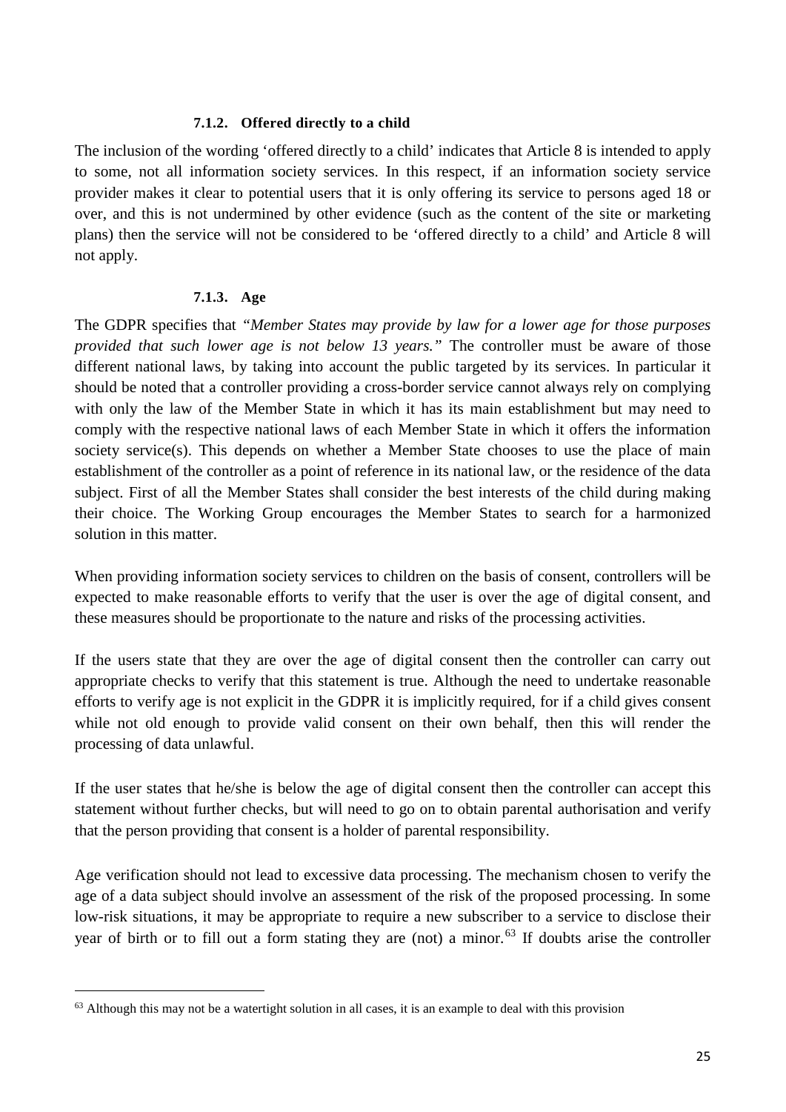## **7.1.2. Offered directly to a child**

<span id="page-24-0"></span>The inclusion of the wording 'offered directly to a child' indicates that Article 8 is intended to apply to some, not all information society services. In this respect, if an information society service provider makes it clear to potential users that it is only offering its service to persons aged 18 or over, and this is not undermined by other evidence (such as the content of the site or marketing plans) then the service will not be considered to be 'offered directly to a child' and Article 8 will not apply.

## **7.1.3. Age**

<span id="page-24-1"></span>The GDPR specifies that *"Member States may provide by law for a lower age for those purposes provided that such lower age is not below 13 years."* The controller must be aware of those different national laws, by taking into account the public targeted by its services. In particular it should be noted that a controller providing a cross-border service cannot always rely on complying with only the law of the Member State in which it has its main establishment but may need to comply with the respective national laws of each Member State in which it offers the information society service(s). This depends on whether a Member State chooses to use the place of main establishment of the controller as a point of reference in its national law, or the residence of the data subject. First of all the Member States shall consider the best interests of the child during making their choice. The Working Group encourages the Member States to search for a harmonized solution in this matter.

When providing information society services to children on the basis of consent, controllers will be expected to make reasonable efforts to verify that the user is over the age of digital consent, and these measures should be proportionate to the nature and risks of the processing activities.

If the users state that they are over the age of digital consent then the controller can carry out appropriate checks to verify that this statement is true. Although the need to undertake reasonable efforts to verify age is not explicit in the GDPR it is implicitly required, for if a child gives consent while not old enough to provide valid consent on their own behalf, then this will render the processing of data unlawful.

If the user states that he/she is below the age of digital consent then the controller can accept this statement without further checks, but will need to go on to obtain parental authorisation and verify that the person providing that consent is a holder of parental responsibility.

Age verification should not lead to excessive data processing. The mechanism chosen to verify the age of a data subject should involve an assessment of the risk of the proposed processing. In some low-risk situations, it may be appropriate to require a new subscriber to a service to disclose their year of birth or to fill out a form stating they are (not) a minor.<sup>[63](#page-24-2)</sup> If doubts arise the controller

<span id="page-24-2"></span> $63$  Although this may not be a watertight solution in all cases, it is an example to deal with this provision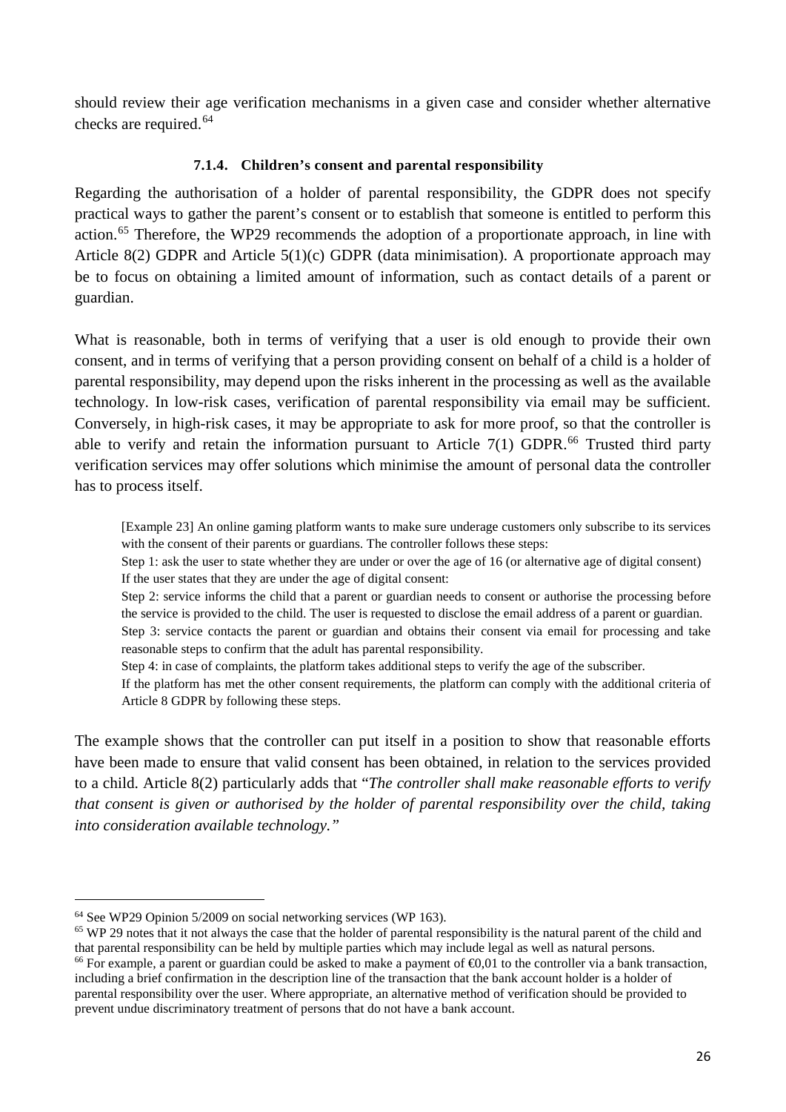should review their age verification mechanisms in a given case and consider whether alternative checks are required. [64](#page-25-1)

## **7.1.4. Children's consent and parental responsibility**

<span id="page-25-0"></span>Regarding the authorisation of a holder of parental responsibility, the GDPR does not specify practical ways to gather the parent's consent or to establish that someone is entitled to perform this action.<sup>[65](#page-25-2)</sup> Therefore, the WP29 recommends the adoption of a proportionate approach, in line with Article 8(2) GDPR and Article 5(1)(c) GDPR (data minimisation). A proportionate approach may be to focus on obtaining a limited amount of information, such as contact details of a parent or guardian.

What is reasonable, both in terms of verifying that a user is old enough to provide their own consent, and in terms of verifying that a person providing consent on behalf of a child is a holder of parental responsibility, may depend upon the risks inherent in the processing as well as the available technology. In low-risk cases, verification of parental responsibility via email may be sufficient. Conversely, in high-risk cases, it may be appropriate to ask for more proof, so that the controller is able to verify and retain the information pursuant to Article  $7(1)$  GDPR.<sup>[66](#page-25-3)</sup> Trusted third party verification services may offer solutions which minimise the amount of personal data the controller has to process itself.

[Example 23] An online gaming platform wants to make sure underage customers only subscribe to its services with the consent of their parents or guardians. The controller follows these steps:

Step 1: ask the user to state whether they are under or over the age of 16 (or alternative age of digital consent) If the user states that they are under the age of digital consent:

Step 2: service informs the child that a parent or guardian needs to consent or authorise the processing before the service is provided to the child. The user is requested to disclose the email address of a parent or guardian.

Step 3: service contacts the parent or guardian and obtains their consent via email for processing and take reasonable steps to confirm that the adult has parental responsibility.

Step 4: in case of complaints, the platform takes additional steps to verify the age of the subscriber.

If the platform has met the other consent requirements, the platform can comply with the additional criteria of Article 8 GDPR by following these steps.

The example shows that the controller can put itself in a position to show that reasonable efforts have been made to ensure that valid consent has been obtained, in relation to the services provided to a child. Article 8(2) particularly adds that "*The controller shall make reasonable efforts to verify that consent is given or authorised by the holder of parental responsibility over the child, taking into consideration available technology."*

<span id="page-25-1"></span> <sup>64</sup> See WP29 Opinion 5/2009 on social networking services (WP 163).

<span id="page-25-3"></span><span id="page-25-2"></span> $65$  WP 29 notes that it not always the case that the holder of parental responsibility is the natural parent of the child and that parental responsibility can be held by multiple parties which may include legal as well as natural persons. <sup>66</sup> For example, a parent or guardian could be asked to make a payment of  $\epsilon$ 0,01 to the controller via a bank transaction, including a brief confirmation in the description line of the transaction that the bank account holder is a holder of parental responsibility over the user. Where appropriate, an alternative method of verification should be provided to prevent undue discriminatory treatment of persons that do not have a bank account.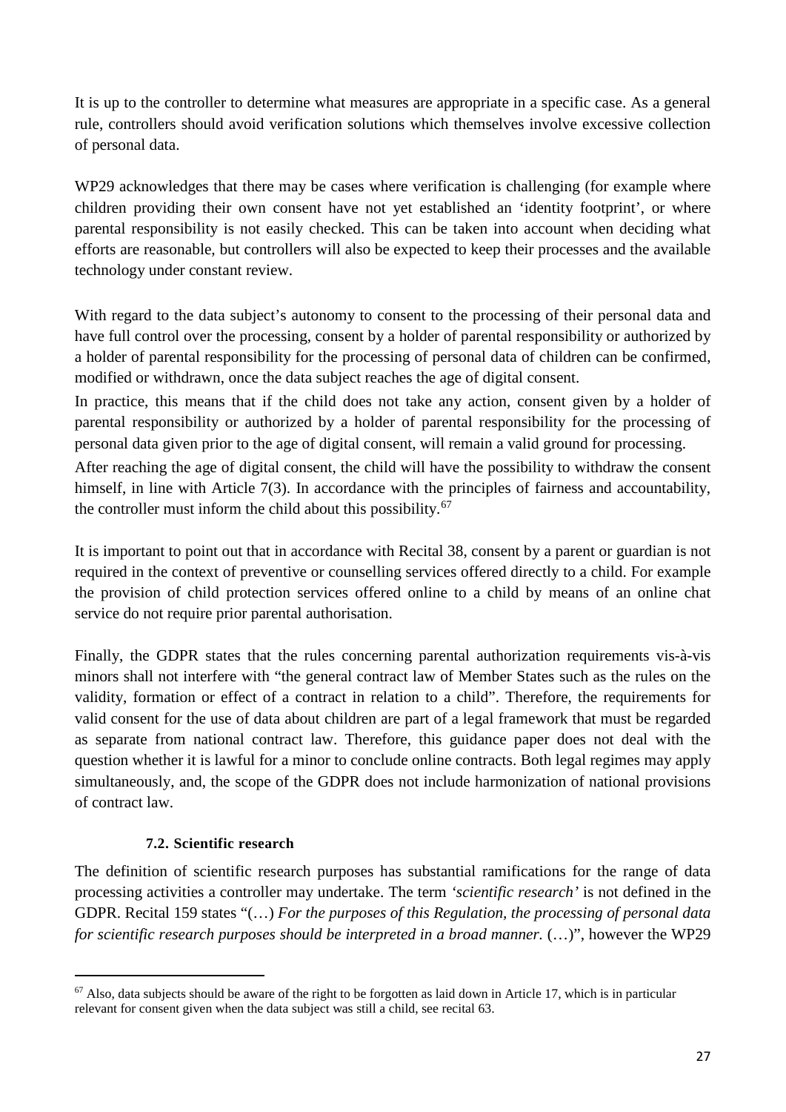It is up to the controller to determine what measures are appropriate in a specific case. As a general rule, controllers should avoid verification solutions which themselves involve excessive collection of personal data.

WP29 acknowledges that there may be cases where verification is challenging (for example where children providing their own consent have not yet established an 'identity footprint', or where parental responsibility is not easily checked. This can be taken into account when deciding what efforts are reasonable, but controllers will also be expected to keep their processes and the available technology under constant review.

With regard to the data subject's autonomy to consent to the processing of their personal data and have full control over the processing, consent by a holder of parental responsibility or authorized by a holder of parental responsibility for the processing of personal data of children can be confirmed, modified or withdrawn, once the data subject reaches the age of digital consent.

In practice, this means that if the child does not take any action, consent given by a holder of parental responsibility or authorized by a holder of parental responsibility for the processing of personal data given prior to the age of digital consent, will remain a valid ground for processing.

After reaching the age of digital consent, the child will have the possibility to withdraw the consent himself, in line with Article 7(3). In accordance with the principles of fairness and accountability, the controller must inform the child about this possibility.<sup>[67](#page-26-1)</sup>

It is important to point out that in accordance with Recital 38, consent by a parent or guardian is not required in the context of preventive or counselling services offered directly to a child. For example the provision of child protection services offered online to a child by means of an online chat service do not require prior parental authorisation.

Finally, the GDPR states that the rules concerning parental authorization requirements vis-à-vis minors shall not interfere with "the general contract law of Member States such as the rules on the validity, formation or effect of a contract in relation to a child". Therefore, the requirements for valid consent for the use of data about children are part of a legal framework that must be regarded as separate from national contract law. Therefore, this guidance paper does not deal with the question whether it is lawful for a minor to conclude online contracts. Both legal regimes may apply simultaneously, and, the scope of the GDPR does not include harmonization of national provisions of contract law.

## <span id="page-26-0"></span>**7.2. Scientific research**

The definition of scientific research purposes has substantial ramifications for the range of data processing activities a controller may undertake. The term *'scientific research'* is not defined in the GDPR. Recital 159 states "(…) *For the purposes of this Regulation, the processing of personal data for scientific research purposes should be interpreted in a broad manner.* (…)", however the WP29

<span id="page-26-1"></span> $67$  Also, data subjects should be aware of the right to be forgotten as laid down in Article 17, which is in particular relevant for consent given when the data subject was still a child, see recital 63.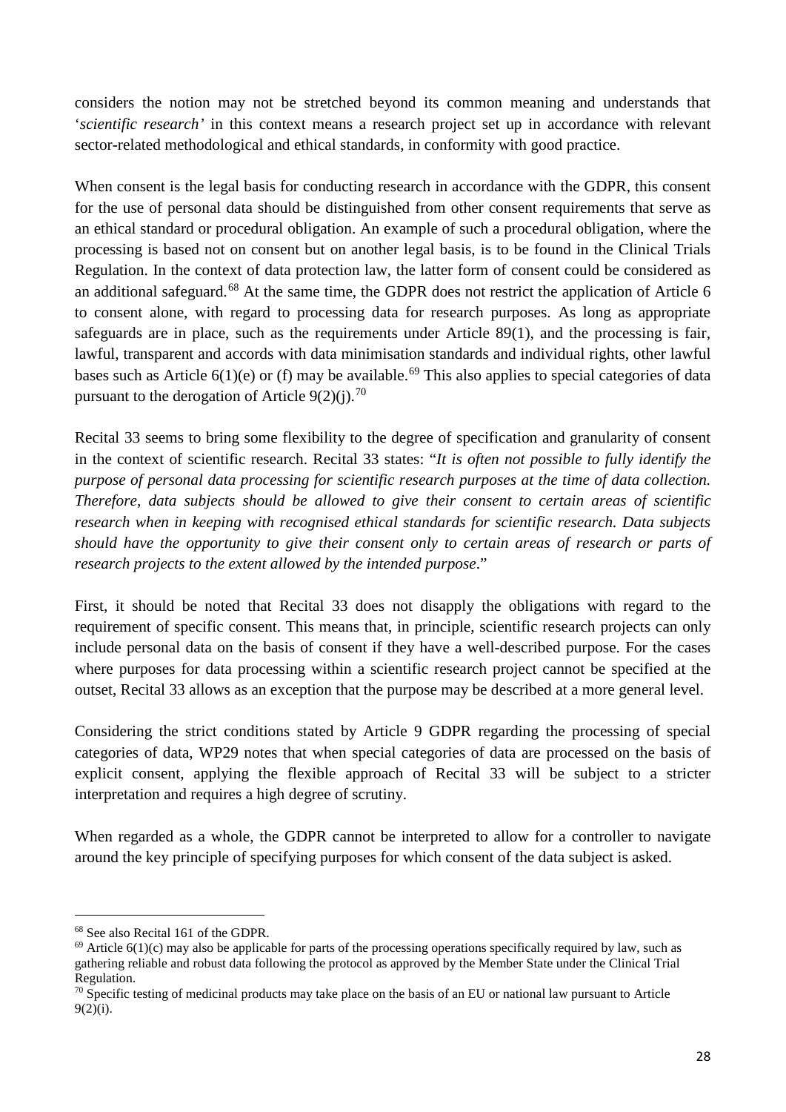considers the notion may not be stretched beyond its common meaning and understands that '*scientific research'* in this context means a research project set up in accordance with relevant sector-related methodological and ethical standards, in conformity with good practice.

When consent is the legal basis for conducting research in accordance with the GDPR, this consent for the use of personal data should be distinguished from other consent requirements that serve as an ethical standard or procedural obligation. An example of such a procedural obligation, where the processing is based not on consent but on another legal basis, is to be found in the Clinical Trials Regulation. In the context of data protection law, the latter form of consent could be considered as an additional safeguard.<sup>[68](#page-27-0)</sup> At the same time, the GDPR does not restrict the application of Article 6 to consent alone, with regard to processing data for research purposes. As long as appropriate safeguards are in place, such as the requirements under Article 89(1), and the processing is fair, lawful, transparent and accords with data minimisation standards and individual rights, other lawful bases such as Article  $6(1)(e)$  or (f) may be available.<sup>[69](#page-27-1)</sup> This also applies to special categories of data pursuant to the derogation of Article  $9(2)(i).^{70}$  $9(2)(i).^{70}$  $9(2)(i).^{70}$ 

Recital 33 seems to bring some flexibility to the degree of specification and granularity of consent in the context of scientific research. Recital 33 states: "*It is often not possible to fully identify the purpose of personal data processing for scientific research purposes at the time of data collection. Therefore, data subjects should be allowed to give their consent to certain areas of scientific research when in keeping with recognised ethical standards for scientific research. Data subjects should have the opportunity to give their consent only to certain areas of research or parts of research projects to the extent allowed by the intended purpose*."

First, it should be noted that Recital 33 does not disapply the obligations with regard to the requirement of specific consent. This means that, in principle, scientific research projects can only include personal data on the basis of consent if they have a well-described purpose. For the cases where purposes for data processing within a scientific research project cannot be specified at the outset, Recital 33 allows as an exception that the purpose may be described at a more general level.

Considering the strict conditions stated by Article 9 GDPR regarding the processing of special categories of data, WP29 notes that when special categories of data are processed on the basis of explicit consent, applying the flexible approach of Recital 33 will be subject to a stricter interpretation and requires a high degree of scrutiny.

When regarded as a whole, the GDPR cannot be interpreted to allow for a controller to navigate around the key principle of specifying purposes for which consent of the data subject is asked.

<span id="page-27-0"></span> <sup>68</sup> See also Recital 161 of the GDPR.

<span id="page-27-1"></span> $^{69}$  Article 6(1)(c) may also be applicable for parts of the processing operations specifically required by law, such as gathering reliable and robust data following the protocol as approved by the Member State under the Clinical Trial Regulation.

<span id="page-27-2"></span> $70$  Specific testing of medicinal products may take place on the basis of an EU or national law pursuant to Article  $9(2)(i)$ .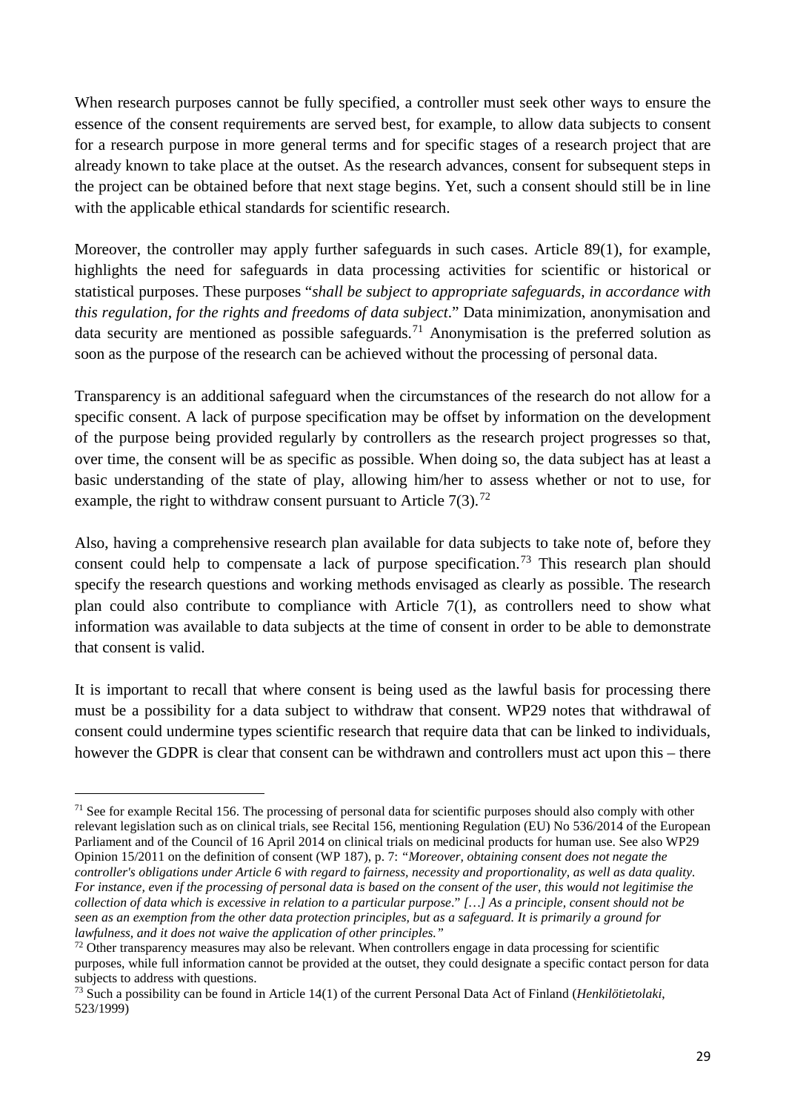When research purposes cannot be fully specified, a controller must seek other ways to ensure the essence of the consent requirements are served best, for example, to allow data subjects to consent for a research purpose in more general terms and for specific stages of a research project that are already known to take place at the outset. As the research advances, consent for subsequent steps in the project can be obtained before that next stage begins. Yet, such a consent should still be in line with the applicable ethical standards for scientific research.

Moreover, the controller may apply further safeguards in such cases. Article 89(1), for example, highlights the need for safeguards in data processing activities for scientific or historical or statistical purposes. These purposes "*shall be subject to appropriate safeguards, in accordance with this regulation, for the rights and freedoms of data subject*." Data minimization, anonymisation and data security are mentioned as possible safeguards.<sup>[71](#page-28-0)</sup> Anonymisation is the preferred solution as soon as the purpose of the research can be achieved without the processing of personal data.

Transparency is an additional safeguard when the circumstances of the research do not allow for a specific consent. A lack of purpose specification may be offset by information on the development of the purpose being provided regularly by controllers as the research project progresses so that, over time, the consent will be as specific as possible. When doing so, the data subject has at least a basic understanding of the state of play, allowing him/her to assess whether or not to use, for example, the right to withdraw consent pursuant to Article  $7(3)$ .<sup>[72](#page-28-1)</sup>

Also, having a comprehensive research plan available for data subjects to take note of, before they consent could help to compensate a lack of purpose specification.<sup>[73](#page-28-2)</sup> This research plan should specify the research questions and working methods envisaged as clearly as possible. The research plan could also contribute to compliance with Article 7(1), as controllers need to show what information was available to data subjects at the time of consent in order to be able to demonstrate that consent is valid.

It is important to recall that where consent is being used as the lawful basis for processing there must be a possibility for a data subject to withdraw that consent. WP29 notes that withdrawal of consent could undermine types scientific research that require data that can be linked to individuals, however the GDPR is clear that consent can be withdrawn and controllers must act upon this – there

<span id="page-28-0"></span><sup>&</sup>lt;sup>71</sup> See for example Recital 156. The processing of personal data for scientific purposes should also comply with other relevant legislation such as on clinical trials, see Recital 156, mentioning Regulation (EU) No 536/2014 of the European Parliament and of the Council of 16 April 2014 on clinical trials on medicinal products for human use. See also WP29 Opinion 15/2011 on the definition of consent (WP 187), p. 7: *"Moreover, obtaining consent does not negate the controller's obligations under Article 6 with regard to fairness, necessity and proportionality, as well as data quality. For instance, even if the processing of personal data is based on the consent of the user, this would not legitimise the collection of data which is excessive in relation to a particular purpose*." *[…] As a principle, consent should not be seen as an exemption from the other data protection principles, but as a safeguard. It is primarily a ground for lawfulness, and it does not waive the application of other principles."*

<span id="page-28-1"></span><sup>&</sup>lt;sup>72</sup> Other transparency measures may also be relevant. When controllers engage in data processing for scientific purposes, while full information cannot be provided at the outset, they could designate a specific contact person for data subjects to address with questions.

<span id="page-28-2"></span><sup>73</sup> Such a possibility can be found in Article 14(1) of the current Personal Data Act of Finland (*Henkilötietolaki*, 523/1999)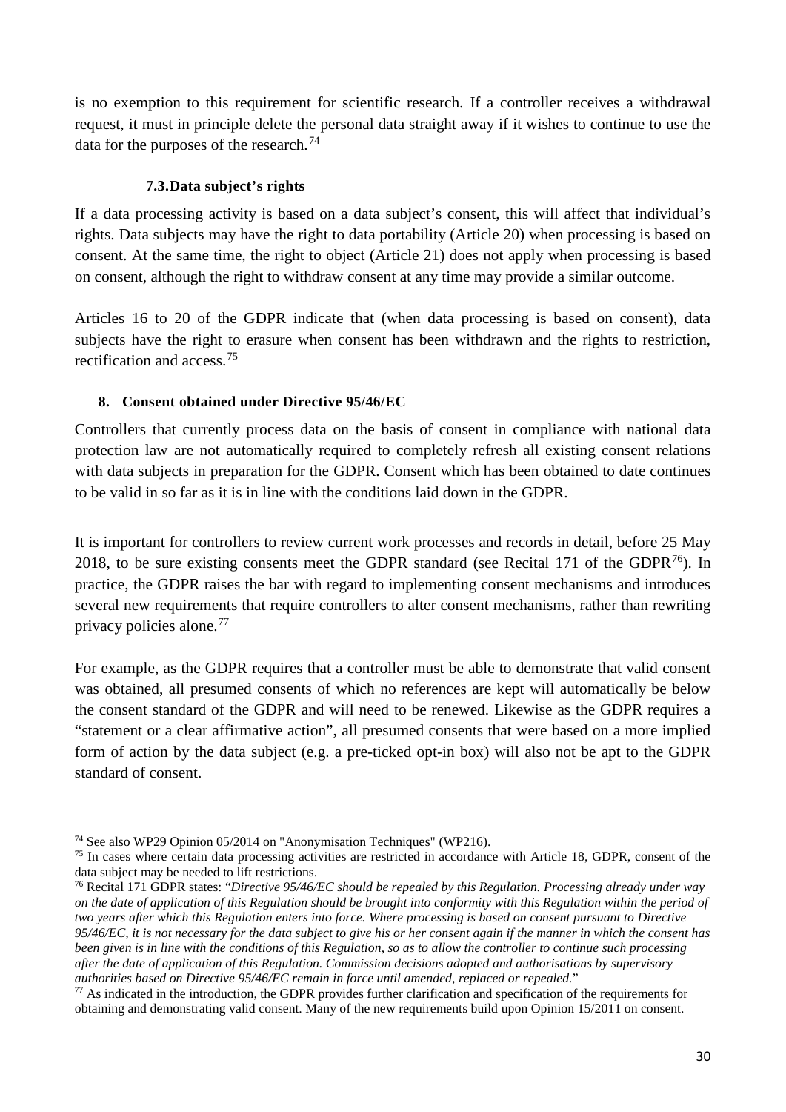is no exemption to this requirement for scientific research. If a controller receives a withdrawal request, it must in principle delete the personal data straight away if it wishes to continue to use the data for the purposes of the research.<sup>[74](#page-29-2)</sup>

## **7.3.Data subject's rights**

<span id="page-29-0"></span>If a data processing activity is based on a data subject's consent, this will affect that individual's rights. Data subjects may have the right to data portability (Article 20) when processing is based on consent. At the same time, the right to object (Article 21) does not apply when processing is based on consent, although the right to withdraw consent at any time may provide a similar outcome.

Articles 16 to 20 of the GDPR indicate that (when data processing is based on consent), data subjects have the right to erasure when consent has been withdrawn and the rights to restriction, rectification and access.[75](#page-29-3)

## <span id="page-29-1"></span>**8. Consent obtained under Directive 95/46/EC**

Controllers that currently process data on the basis of consent in compliance with national data protection law are not automatically required to completely refresh all existing consent relations with data subjects in preparation for the GDPR. Consent which has been obtained to date continues to be valid in so far as it is in line with the conditions laid down in the GDPR.

It is important for controllers to review current work processes and records in detail, before 25 May 2018, to be sure existing consents meet the GDPR standard (see Recital 171 of the GDPR<sup>[76](#page-29-4)</sup>). In practice, the GDPR raises the bar with regard to implementing consent mechanisms and introduces several new requirements that require controllers to alter consent mechanisms, rather than rewriting privacy policies alone.[77](#page-29-5)

For example, as the GDPR requires that a controller must be able to demonstrate that valid consent was obtained, all presumed consents of which no references are kept will automatically be below the consent standard of the GDPR and will need to be renewed. Likewise as the GDPR requires a "statement or a clear affirmative action", all presumed consents that were based on a more implied form of action by the data subject (e.g. a pre-ticked opt-in box) will also not be apt to the GDPR standard of consent.

<span id="page-29-2"></span> <sup>74</sup> See also WP29 Opinion 05/2014 on "Anonymisation Techniques" (WP216).

<span id="page-29-3"></span><sup>&</sup>lt;sup>75</sup> In cases where certain data processing activities are restricted in accordance with Article 18, GDPR, consent of the data subject may be needed to lift restrictions.

<span id="page-29-4"></span><sup>76</sup> Recital 171 GDPR states: "*Directive 95/46/EC should be repealed by this Regulation. Processing already under way on the date of application of this Regulation should be brought into conformity with this Regulation within the period of two years after which this Regulation enters into force. Where processing is based on consent pursuant to Directive 95/46/EC, it is not necessary for the data subject to give his or her consent again if the manner in which the consent has been given is in line with the conditions of this Regulation, so as to allow the controller to continue such processing after the date of application of this Regulation. Commission decisions adopted and authorisations by supervisory authorities based on Directive 95/46/EC remain in force until amended, replaced or repealed.*"

<span id="page-29-5"></span> $77$  As indicated in the introduction, the GDPR provides further clarification and specification of the requirements for obtaining and demonstrating valid consent. Many of the new requirements build upon Opinion 15/2011 on consent.